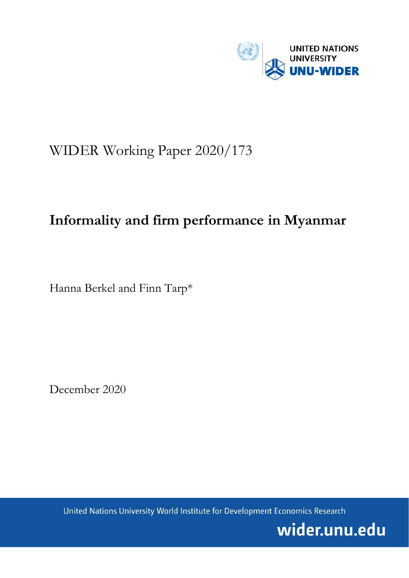

# WIDER Working Paper 2020/173

# **Informality and firm performance in Myanmar**

Hanna Berkel and Finn Tarp\*

December 2020

United Nations University World Institute for Development Economics Research

wider.unu.edu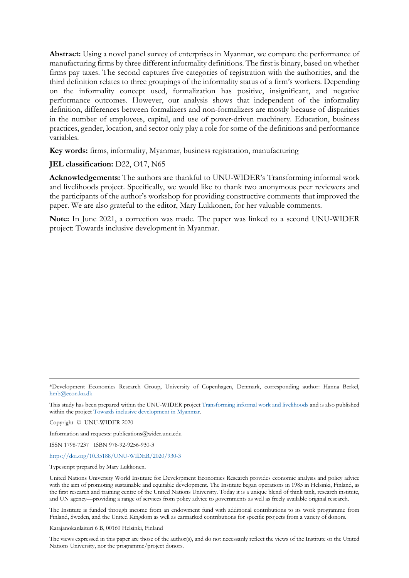**Abstract:** Using a novel panel survey of enterprises in Myanmar, we compare the performance of manufacturing firms by three different informality definitions. The first is binary, based on whether firms pay taxes. The second captures five categories of registration with the authorities, and the third definition relates to three groupings of the informality status of a firm's workers. Depending on the informality concept used, formalization has positive, insignificant, and negative performance outcomes. However, our analysis shows that independent of the informality definition, differences between formalizers and non-formalizers are mostly because of disparities in the number of employees, capital, and use of power-driven machinery. Education, business practices, gender, location, and sector only play a role for some of the definitions and performance variables.

**Key words:** firms, informality, Myanmar, business registration, manufacturing

#### **JEL classification:** D22, O17, N65

**Acknowledgements:** The authors are thankful to UNU-WIDER's Transforming informal work and livelihoods project. Specifically, we would like to thank two anonymous peer reviewers and the participants of the author's workshop for providing constructive comments that improved the paper. We are also grateful to the editor, Mary Lukkonen, for her valuable comments.

**Note:** In June 2021, a correction was made. The paper was linked to a second UNU-WIDER project: Towards inclusive development in Myanmar.

Information and requests: publications@wider.unu.edu

ISSN 1798-7237 ISBN 978-92-9256-930-3

<https://doi.org/10.35188/UNU-WIDER/2020/930-3>

Typescript prepared by Mary Lukkonen.

The Institute is funded through income from an endowment fund with additional contributions to its work programme from Finland, Sweden, and the United Kingdom as well as earmarked contributions for specific projects from a variety of donors.

Katajanokanlaituri 6 B, 00160 Helsinki, Finland

The views expressed in this paper are those of the author(s), and do not necessarily reflect the views of the Institute or the United Nations University, nor the programme/project donors.

<sup>\*</sup>Development Economics Research Group, University of Copenhagen, Denmark, corresponding author: Hanna Berkel, [hmb@econ.ku.dk](mailto:hmb@econ.ku.dk)

This study has been prepared within the UNU-WIDER project [Transforming informal work and livelihoods](https://www.wider.unu.edu/node/187589) and is also published within the project [Towards inclusive development in Myanmar.](https://www.wider.unu.edu/node/120833)

Copyright © UNU-WIDER 2020

United Nations University World Institute for Development Economics Research provides economic analysis and policy advice with the aim of promoting sustainable and equitable development. The Institute began operations in 1985 in Helsinki, Finland, as the first research and training centre of the United Nations University. Today it is a unique blend of think tank, research institute, and UN agency—providing a range of services from policy advice to governments as well as freely available original research.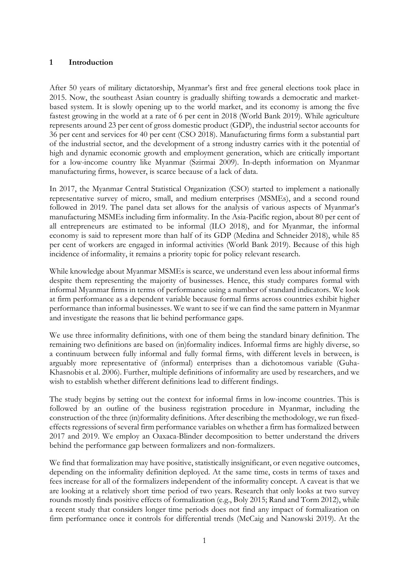## **1 Introduction**

After 50 years of military dictatorship, Myanmar's first and free general elections took place in 2015. Now, the southeast Asian country is gradually shifting towards a democratic and marketbased system. It is slowly opening up to the world market, and its economy is among the five fastest growing in the world at a rate of 6 per cent in 2018 (World Bank 2019). While agriculture represents around 23 per cent of gross domestic product (GDP), the industrial sector accounts for 36 per cent and services for 40 per cent (CSO 2018). Manufacturing firms form a substantial part of the industrial sector, and the development of a strong industry carries with it the potential of high and dynamic economic growth and employment generation, which are critically important for a low-income country like Myanmar (Szirmai 2009). In-depth information on Myanmar manufacturing firms, however, is scarce because of a lack of data.

In 2017, the Myanmar Central Statistical Organization (CSO) started to implement a nationally representative survey of micro, small, and medium enterprises (MSMEs), and a second round followed in 2019. The panel data set allows for the analysis of various aspects of Myanmar's manufacturing MSMEs including firm informality. In the Asia-Pacific region, about 80 per cent of all entrepreneurs are estimated to be informal (ILO 2018), and for Myanmar, the informal economy is said to represent more than half of its GDP (Medina and Schneider 2018), while 85 per cent of workers are engaged in informal activities (World Bank 2019). Because of this high incidence of informality, it remains a priority topic for policy relevant research.

While knowledge about Myanmar MSMEs is scarce, we understand even less about informal firms despite them representing the majority of businesses. Hence, this study compares formal with informal Myanmar firms in terms of performance using a number of standard indicators. We look at firm performance as a dependent variable because formal firms across countries exhibit higher performance than informal businesses. We want to see if we can find the same pattern in Myanmar and investigate the reasons that lie behind performance gaps.

We use three informality definitions, with one of them being the standard binary definition. The remaining two definitions are based on (in)formality indices. Informal firms are highly diverse, so a continuum between fully informal and fully formal firms, with different levels in between, is arguably more representative of (informal) enterprises than a dichotomous variable (Guha-Khasnobis et al. 2006). Further, multiple definitions of informality are used by researchers, and we wish to establish whether different definitions lead to different findings.

The study begins by setting out the context for informal firms in low-income countries. This is followed by an outline of the business registration procedure in Myanmar, including the construction of the three (in)formality definitions. After describing the methodology, we run fixedeffects regressions of several firm performance variables on whether a firm has formalized between 2017 and 2019. We employ an Oaxaca-Blinder decomposition to better understand the drivers behind the performance gap between formalizers and non-formalizers.

We find that formalization may have positive, statistically insignificant, or even negative outcomes, depending on the informality definition deployed. At the same time, costs in terms of taxes and fees increase for all of the formalizers independent of the informality concept. A caveat is that we are looking at a relatively short time period of two years. Research that only looks at two survey rounds mostly finds positive effects of formalization (e.g., Boly 2015; Rand and Torm 2012), while a recent study that considers longer time periods does not find any impact of formalization on firm performance once it controls for differential trends (McCaig and Nanowski 2019). At the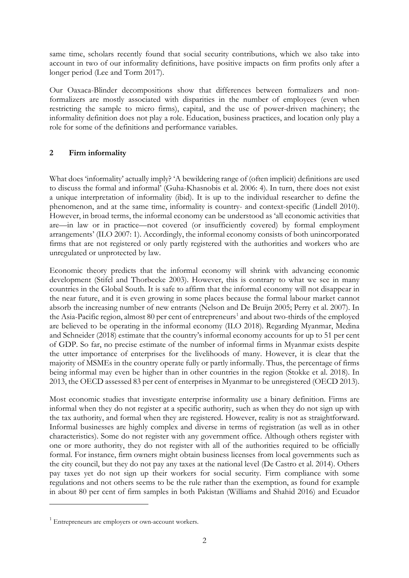same time, scholars recently found that social security contributions, which we also take into account in two of our informality definitions, have positive impacts on firm profits only after a longer period (Lee and Torm 2017).

Our Oaxaca-Blinder decompositions show that differences between formalizers and nonformalizers are mostly associated with disparities in the number of employees (even when restricting the sample to micro firms), capital, and the use of power-driven machinery; the informality definition does not play a role. Education, business practices, and location only play a role for some of the definitions and performance variables.

# **2 Firm informality**

What does 'informality' actually imply? 'A bewildering range of (often implicit) definitions are used to discuss the formal and informal' (Guha-Khasnobis et al. 2006: 4). In turn, there does not exist a unique interpretation of informality (ibid). It is up to the individual researcher to define the phenomenon, and at the same time, informality is country- and context-specific (Lindell 2010). However, in broad terms, the informal economy can be understood as 'all economic activities that are—in law or in practice—not covered (or insufficiently covered) by formal employment arrangements' (ILO 2007: 1). Accordingly, the informal economy consists of both unincorporated firms that are not registered or only partly registered with the authorities and workers who are unregulated or unprotected by law.

Economic theory predicts that the informal economy will shrink with advancing economic development (Stifel and Thorbecke 2003). However, this is contrary to what we see in many countries in the Global South. It is safe to affirm that the informal economy will not disappear in the near future, and it is even growing in some places because the formal labour market cannot absorb the increasing number of new entrants (Nelson and De Bruijn 2005; Perry et al. 2007). In the Asia-Pacific region, almost 80 per cent of entrepreneurs<sup>[1](#page-3-0)</sup> and about two-thirds of the employed are believed to be operating in the informal economy (ILO 2018). Regarding Myanmar, Medina and Schneider (2018) estimate that the country's informal economy accounts for up to 51 per cent of GDP. So far, no precise estimate of the number of informal firms in Myanmar exists despite the utter importance of enterprises for the livelihoods of many. However, it is clear that the majority of MSMEs in the country operate fully or partly informally. Thus, the percentage of firms being informal may even be higher than in other countries in the region (Stokke et al. 2018). In 2013, the OECD assessed 83 per cent of enterprises in Myanmar to be unregistered (OECD 2013).

Most economic studies that investigate enterprise informality use a binary definition. Firms are informal when they do not register at a specific authority, such as when they do not sign up with the tax authority, and formal when they are registered. However, reality is not as straightforward. Informal businesses are highly complex and diverse in terms of registration (as well as in other characteristics). Some do not register with any government office. Although others register with one or more authority, they do not register with all of the authorities required to be officially formal. For instance, firm owners might obtain business licenses from local governments such as the city council, but they do not pay any taxes at the national level (De Castro et al. 2014). Others pay taxes yet do not sign up their workers for social security. Firm compliance with some regulations and not others seems to be the rule rather than the exemption, as found for example in about 80 per cent of firm samples in both Pakistan (Williams and Shahid 2016) and Ecuador

<span id="page-3-0"></span> $1$  Entrepreneurs are employers or own-account workers.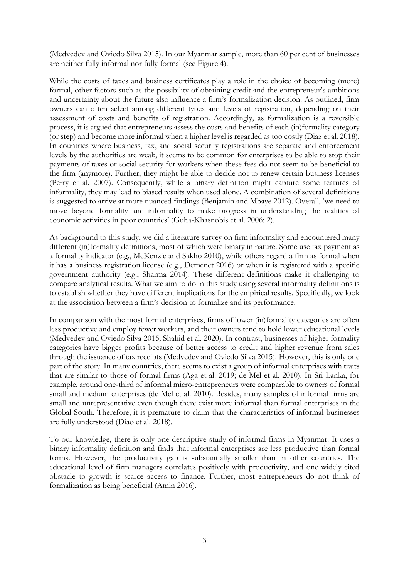(Medvedev and Oviedo Silva 2015). In our Myanmar sample, more than 60 per cent of businesses are neither fully informal nor fully formal (see Figure 4).

While the costs of taxes and business certificates play a role in the choice of becoming (more) formal, other factors such as the possibility of obtaining credit and the entrepreneur's ambitions and uncertainty about the future also influence a firm's formalization decision. As outlined, firm owners can often select among different types and levels of registration, depending on their assessment of costs and benefits of registration. Accordingly, as formalization is a reversible process, it is argued that entrepreneurs assess the costs and benefits of each (in)formality category (or step) and become more informal when a higher level is regarded as too costly (Diaz et al. 2018). In countries where business, tax, and social security registrations are separate and enforcement levels by the authorities are weak, it seems to be common for enterprises to be able to stop their payments of taxes or social security for workers when these fees do not seem to be beneficial to the firm (anymore). Further, they might be able to decide not to renew certain business licenses (Perry et al. 2007). Consequently, while a binary definition might capture some features of informality, they may lead to biased results when used alone. A combination of several definitions is suggested to arrive at more nuanced findings (Benjamin and Mbaye 2012). Overall, 'we need to move beyond formality and informality to make progress in understanding the realities of economic activities in poor countries' (Guha-Khasnobis et al. 2006: 2).

As background to this study, we did a literature survey on firm informality and encountered many different (in)formality definitions, most of which were binary in nature. Some use tax payment as a formality indicator (e.g., McKenzie and Sakho 2010), while others regard a firm as formal when it has a business registration license (e.g., Demenet 2016) or when it is registered with a specific government authority (e.g., Sharma 2014). These different definitions make it challenging to compare analytical results. What we aim to do in this study using several informality definitions is to establish whether they have different implications for the empirical results. Specifically, we look at the association between a firm's decision to formalize and its performance.

In comparison with the most formal enterprises, firms of lower (in)formality categories are often less productive and employ fewer workers, and their owners tend to hold lower educational levels (Medvedev and Oviedo Silva 2015; Shahid et al. 2020). In contrast, businesses of higher formality categories have bigger profits because of better access to credit and higher revenue from sales through the issuance of tax receipts (Medvedev and Oviedo Silva 2015). However, this is only one part of the story. In many countries, there seems to exist a group of informal enterprises with traits that are similar to those of formal firms (Aga et al. 2019; de Mel et al. 2010). In Sri Lanka, for example, around one-third of informal micro-entrepreneurs were comparable to owners of formal small and medium enterprises (de Mel et al. 2010). Besides, many samples of informal firms are small and unrepresentative even though there exist more informal than formal enterprises in the Global South. Therefore, it is premature to claim that the characteristics of informal businesses are fully understood (Diao et al. 2018).

To our knowledge, there is only one descriptive study of informal firms in Myanmar. It uses a binary informality definition and finds that informal enterprises are less productive than formal forms. However, the productivity gap is substantially smaller than in other countries. The educational level of firm managers correlates positively with productivity, and one widely cited obstacle to growth is scarce access to finance. Further, most entrepreneurs do not think of formalization as being beneficial (Amin 2016).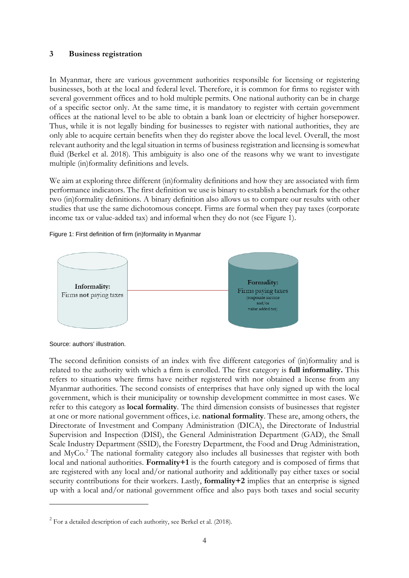### **3 Business registration**

In Myanmar, there are various government authorities responsible for licensing or registering businesses, both at the local and federal level. Therefore, it is common for firms to register with several government offices and to hold multiple permits. One national authority can be in charge of a specific sector only. At the same time, it is mandatory to register with certain government offices at the national level to be able to obtain a bank loan or electricity of higher horsepower. Thus, while it is not legally binding for businesses to register with national authorities, they are only able to acquire certain benefits when they do register above the local level. Overall, the most relevant authority and the legal situation in terms of business registration and licensing is somewhat fluid (Berkel et al. 2018). This ambiguity is also one of the reasons why we want to investigate multiple (in)formality definitions and levels.

We aim at exploring three different (in)formality definitions and how they are associated with firm performance indicators. The first definition we use is binary to establish a benchmark for the other two (in)formality definitions. A binary definition also allows us to compare our results with other studies that use the same dichotomous concept. Firms are formal when they pay taxes (corporate income tax or value-added tax) and informal when they do not (see Figure 1).

#### Figure 1: First definition of firm (in)formality in Myanmar



Source: authors' illustration.

The second definition consists of an index with five different categories of (in)formality and is related to the authority with which a firm is enrolled. The first category is **full informality.** This refers to situations where firms have neither registered with nor obtained a license from any Myanmar authorities. The second consists of enterprises that have only signed up with the local government, which is their municipality or township development committee in most cases. We refer to this category as **local formality**. The third dimension consists of businesses that register at one or more national government offices, i.e. **national formality**. These are, among others, the Directorate of Investment and Company Administration (DICA), the Directorate of Industrial Supervision and Inspection (DISI), the General Administration Department (GAD), the Small Scale Industry Department (SSID), the Forestry Department, the Food and Drug Administration, and MyCo.<sup>[2](#page-5-0)</sup> The national formality category also includes all businesses that register with both local and national authorities. **Formality+1** is the fourth category and is composed of firms that are registered with any local and/or national authority and additionally pay either taxes or social security contributions for their workers. Lastly, **formality+2** implies that an enterprise is signed up with a local and/or national government office and also pays both taxes and social security

<span id="page-5-0"></span> $2$  For a detailed description of each authority, see Berkel et al. (2018).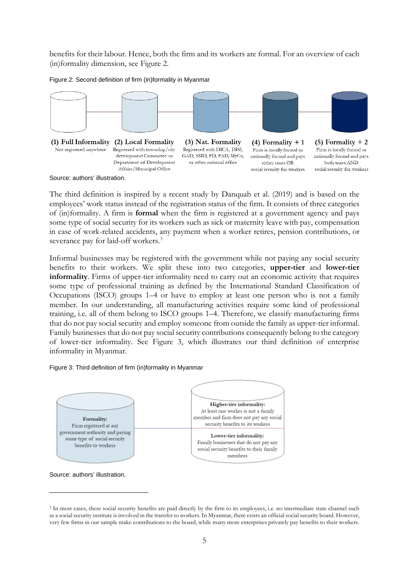benefits for their labour. Hence, both the firm and its workers are formal. For an overview of each (in)formality dimension, see Figure 2.

#### Figure 2: Second definition of firm (in)formality in Myanmar



Source: authors' illustration.

The third definition is inspired by a recent study by Danquah et al. (2019) and is based on the employees' work status instead of the registration status of the firm. It consists of three categories of (in)formality. A firm is **formal** when the firm is registered at a government agency and pays some type of social security for its workers such as sick or maternity leave with pay, compensation in case of work-related accidents, any payment when a worker retires, pension contributions, or severance pay for laid-off workers.<sup>[3](#page-6-0)</sup>

Informal businesses may be registered with the government while not paying any social security benefits to their workers. We split these into two categories, **upper-tier** and **lower-tier informality**. Firms of upper-tier informality need to carry out an economic activity that requires some type of professional training as defined by the International Standard Classification of Occupations (ISCO) groups 1–4 or have to employ at least one person who is not a family member. In our understanding, all manufacturing activities require some kind of professional training, i.e. all of them belong to ISCO groups 1–4. Therefore, we classify manufacturing firms that do not pay social security and employ someone from outside the family as upper-tier informal. Family businesses that do not pay social security contributions consequently belong to the category of lower-tier informality. See Figure 3, which illustrates our third definition of enterprise informality in Myanmar.

#### Figure 3: Third definition of firm (in)formality in Myanmar



Source: authors' illustration.

<span id="page-6-0"></span><sup>&</sup>lt;sup>3</sup> In most cases, these social security benefits are paid directly by the firm to its employees, i.e. no intermediate state channel such as a social security institute is involved in the transfer to workers. In Myanmar, there exists an official social security board. However, very few firms in our sample make contributions to the board, while many more enterprises privately pay benefits to their workers.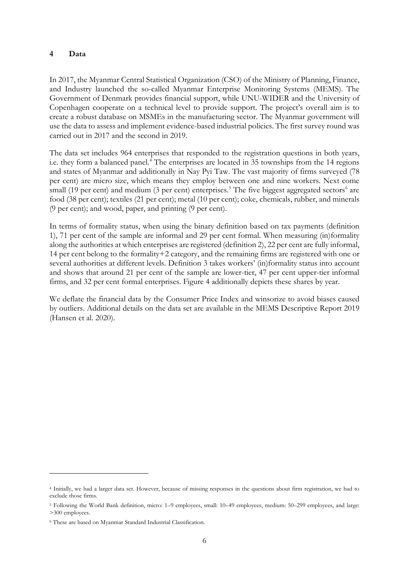### **4 Data**

In 2017, the Myanmar Central Statistical Organization (CSO) of the Ministry of Planning, Finance, and Industry launched the so-called Myanmar Enterprise Monitoring Systems (MEMS). The Government of Denmark provides financial support, while UNU-WIDER and the University of Copenhagen cooperate on a technical level to provide support. The project's overall aim is to create a robust database on MSMEs in the manufacturing sector. The Myanmar government will use the data to assess and implement evidence-based industrial policies. The first survey round was carried out in 2017 and the second in 2019.

The data set includes 964 enterprises that responded to the registration questions in both years, i.e. they form a balanced panel.<sup>[4](#page-7-0)</sup> The enterprises are located in 35 townships from the 14 regions and states of Myanmar and additionally in Nay Pyi Taw. The vast majority of firms surveyed (78 per cent) are micro size, which means they employ between one and nine workers. Next come small (19 per cent) and medium (3 per cent) enterprises.<sup>[5](#page-7-1)</sup> The five biggest aggregated sectors<sup>[6](#page-7-2)</sup> are food (38 per cent); textiles (21 per cent); metal (10 per cent); coke, chemicals, rubber, and minerals (9 per cent); and wood, paper, and printing (9 per cent).

In terms of formality status, when using the binary definition based on tax payments (definition 1), 71 per cent of the sample are informal and 29 per cent formal. When measuring (in)formality along the authorities at which enterprises are registered (definition 2), 22 per cent are fully informal, 14 per cent belong to the formality+2 category, and the remaining firms are registered with one or several authorities at different levels. Definition 3 takes workers' (in)formality status into account and shows that around 21 per cent of the sample are lower-tier, 47 per cent upper-tier informal firms, and 32 per cent formal enterprises. Figure 4 additionally depicts these shares by year.

We deflate the financial data by the Consumer Price Index and winsorize to avoid biases caused by outliers. Additional details on the data set are available in the MEMS Descriptive Report 2019 (Hansen et al. 2020).

<span id="page-7-0"></span><sup>4</sup> Initially, we had a larger data set. However, because of missing responses in the questions about firm registration, we had to exclude those firms.

<span id="page-7-1"></span><sup>5</sup> Following the World Bank definition, micro: 1–9 employees, small: 10–49 employees, medium: 50–299 employees, and large: >300 employees.

<span id="page-7-2"></span><sup>6</sup> These are based on Myanmar Standard Industrial Classification.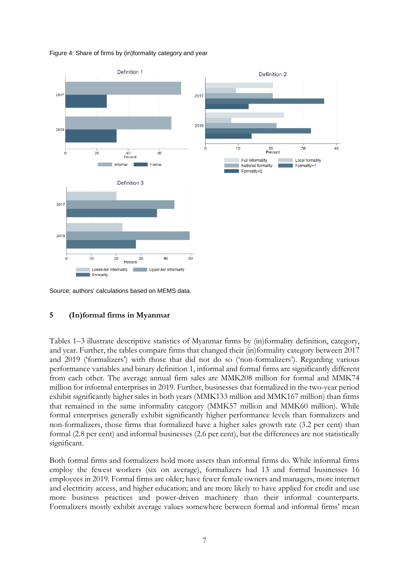Figure 4: Share of firms by (in)formality category and year



Source: authors' calculations based on MEMS data.

## **5 (In)formal firms in Myanmar**

Tables 1–3 illustrate descriptive statistics of Myanmar firms by (in)formality definition, category, and year. Further, the tables compare firms that changed their (in)formality category between 2017 and 2019 ('formalizers') with those that did not do so ('non-formalizers'). Regarding various performance variables and binary definition 1, informal and formal firms are significantly different from each other. The average annual firm sales are MMK208 million for formal and MMK74 million for informal enterprises in 2019. Further, businesses that formalized in the two-year period exhibit significantly higher sales in both years (MMK133 million and MMK167 million) than firms that remained in the same informality category (MMK57 million and MMK60 million). While formal enterprises generally exhibit significantly higher performance levels than formalizers and non-formalizers, those firms that formalized have a higher sales growth rate (3.2 per cent) than formal (2.8 per cent) and informal businesses (2.6 per cent), but the differences are not statistically significant.

Both formal firms and formalizers hold more assets than informal firms do. While informal firms employ the fewest workers (six on average), formalizers had 13 and formal businesses 16 employees in 2019. Formal firms are older; have fewer female owners and managers, more internet and electricity access, and higher education; and are more likely to have applied for credit and use more business practices and power-driven machinery than their informal counterparts. Formalizers mostly exhibit average values somewhere between formal and informal firms' mean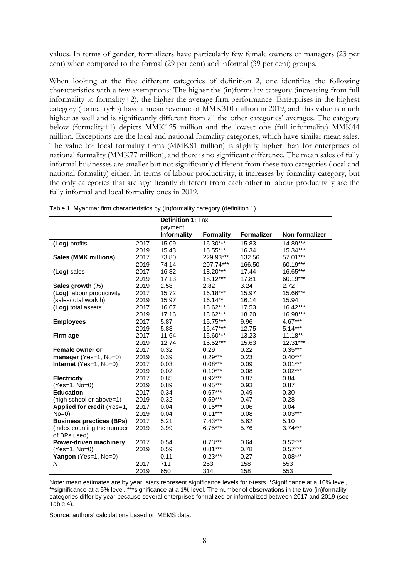values. In terms of gender, formalizers have particularly few female owners or managers (23 per cent) when compared to the formal (29 per cent) and informal (39 per cent) groups.

When looking at the five different categories of definition 2, one identifies the following characteristics with a few exemptions: The higher the (in)formality category (increasing from full informality to formality+2), the higher the average firm performance. Enterprises in the highest category (formality+5) have a mean revenue of MMK310 million in 2019, and this value is much higher as well and is significantly different from all the other categories' averages. The category below (formality+1) depicts MMK125 million and the lowest one (full informality) MMK44 million. Exceptions are the local and national formality categories, which have similar mean sales. The value for local formality firms (MMK81 million) is slightly higher than for enterprises of national formality (MMK77 million), and there is no significant difference. The mean sales of fully informal businesses are smaller but not significantly different from these two categories (local and national formality) either. In terms of labour productivity, it increases by formality category, but the only categories that are significantly different from each other in labour productivity are the fully informal and local formality ones in 2019.

|                                 |      | <b>Definition 1: Tax</b> |                  |                   |                |
|---------------------------------|------|--------------------------|------------------|-------------------|----------------|
|                                 |      | payment                  |                  |                   |                |
|                                 |      | <b>Informality</b>       | <b>Formality</b> | <b>Formalizer</b> | Non-formalizer |
| (Log) profits                   | 2017 | 15.09                    | 16.30***         | 15.83             | 14.89***       |
|                                 | 2019 | 15.43                    | 16.55***         | 16.34             | 15.34***       |
| Sales (MMK millions)            | 2017 | 73.80                    | 229.93***        | 132.56            | 57.01***       |
|                                 | 2019 | 74.14                    | 207.74***        | 166.50            | 60.19***       |
| (Log) sales                     | 2017 | 16.82                    | 18.20***         | 17.44             | 16.65***       |
|                                 | 2019 | 17.13                    | 18.12***         | 17.81             | 60.19***       |
| Sales growth $(\%)$             | 2019 | 2.58                     | 2.82             | 3.24              | 2.72           |
| (Log) labour productivity       | 2017 | 15.72                    | 16.18***         | 15.97             | 15.66***       |
| (sales/total work h)            | 2019 | 15.97                    | $16.14**$        | 16.14             | 15.94          |
| (Log) total assets              | 2017 | 16.67                    | 18.62***         | 17.53             | 16.42***       |
|                                 | 2019 | 17.16                    | 18.62***         | 18.20             | 16.98***       |
| <b>Employees</b>                | 2017 | 5.87                     | 15.75***         | 9.96              | 4.67***        |
|                                 | 2019 | 5.88                     | $16.47***$       | 12.75             | $5.14***$      |
| Firm age                        | 2017 | 11.64                    | 15.60***         | 13.23             | $11.18**$      |
|                                 | 2019 | 12.74                    | 16.52***         | 15.63             | 12.31***       |
| Female owner or                 | 2017 | 0.32                     | 0.29             | 0.22              | $0.35***$      |
| manager (Yes=1, No=0)           | 2019 | 0.39                     | $0.29***$        | 0.23              | $0.40***$      |
| Internet $(Yes=1, No=0)$        | 2017 | 0.03                     | $0.08***$        | 0.09              | $0.01***$      |
|                                 | 2019 | 0.02                     | $0.10***$        | 0.08              | $0.02***$      |
| <b>Electricity</b>              | 2017 | 0.85                     | $0.92***$        | 0.87              | 0.84           |
| (Yes=1, No=0)                   | 2019 | 0.89                     | $0.95***$        | 0.93              | 0.87           |
| <b>Education</b>                | 2017 | 0.34                     | $0.67***$        | 0.49              | 0.30           |
| (high school or above=1)        | 2019 | 0.32                     | $0.59***$        | 0.47              | 0.28           |
| Applied for credit (Yes=1,      | 2017 | 0.04                     | $0.15***$        | 0.06              | 0.04           |
| $No=0$                          | 2019 | 0.04                     | $0.11***$        | 0.08              | $0.03***$      |
| <b>Business practices (BPs)</b> | 2017 | 5.21                     | $7.43***$        | 5.62              | 5.10           |
| (index counting the number      | 2019 | 3.99                     | $6.75***$        | 5.76              | $3.74***$      |
| of BPs used)                    |      |                          |                  |                   |                |
| Power-driven machinery          | 2017 | 0.54                     | $0.73***$        | 0.64              | $0.52***$      |
| $(Yes=1, No=0)$                 | 2019 | 0.59                     | $0.81***$        | 0.78              | $0.57***$      |
| <b>Yangon</b> (Yes=1, $No=0$ )  |      | 0.11                     | $0.23***$        | 0.27              | $0.08***$      |
| N                               | 2017 | 711                      | 253              | 158               | 553            |
|                                 | 2019 | 650                      | 314              | 158               | 553            |

Table 1: Myanmar firm characteristics by (in)formality category (definition 1)

Note: mean estimates are by year; stars represent significance levels for t-tests. \*Significance at a 10% level, \*\*significance at a 5% level, \*\*\*significance at a 1% level. The number of observations in the two (in)formality categories differ by year because several enterprises formalized or informalized between 2017 and 2019 (see Table 4).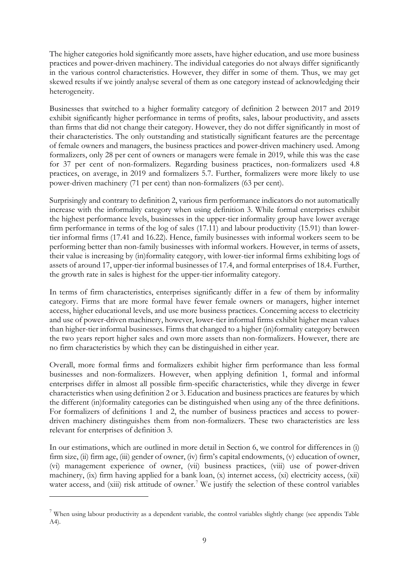The higher categories hold significantly more assets, have higher education, and use more business practices and power-driven machinery. The individual categories do not always differ significantly in the various control characteristics. However, they differ in some of them. Thus, we may get skewed results if we jointly analyse several of them as one category instead of acknowledging their heterogeneity.

Businesses that switched to a higher formality category of definition 2 between 2017 and 2019 exhibit significantly higher performance in terms of profits, sales, labour productivity, and assets than firms that did not change their category. However, they do not differ significantly in most of their characteristics. The only outstanding and statistically significant features are the percentage of female owners and managers, the business practices and power-driven machinery used. Among formalizers, only 28 per cent of owners or managers were female in 2019, while this was the case for 37 per cent of non-formalizers. Regarding business practices, non-formalizers used 4.8 practices, on average, in 2019 and formalizers 5.7. Further, formalizers were more likely to use power-driven machinery (71 per cent) than non-formalizers (63 per cent).

Surprisingly and contrary to definition 2, various firm performance indicators do not automatically increase with the informality category when using definition 3. While formal enterprises exhibit the highest performance levels, businesses in the upper-tier informality group have lower average firm performance in terms of the log of sales (17.11) and labour productivity (15.91) than lowertier informal firms (17.41 and 16.22). Hence, family businesses with informal workers seem to be performing better than non-family businesses with informal workers. However, in terms of assets, their value is increasing by (in)formality category, with lower-tier informal firms exhibiting logs of assets of around 17, upper-tier informal businesses of 17.4, and formal enterprises of 18.4. Further, the growth rate in sales is highest for the upper-tier informality category.

In terms of firm characteristics, enterprises significantly differ in a few of them by informality category. Firms that are more formal have fewer female owners or managers, higher internet access, higher educational levels, and use more business practices. Concerning access to electricity and use of power-driven machinery, however, lower-tier informal firms exhibit higher mean values than higher-tier informal businesses. Firms that changed to a higher (in)formality category between the two years report higher sales and own more assets than non-formalizers. However, there are no firm characteristics by which they can be distinguished in either year.

Overall, more formal firms and formalizers exhibit higher firm performance than less formal businesses and non-formalizers. However, when applying definition 1, formal and informal enterprises differ in almost all possible firm-specific characteristics, while they diverge in fewer characteristics when using definition 2 or 3. Education and business practices are features by which the different (in)formality categories can be distinguished when using any of the three definitions. For formalizers of definitions 1 and 2, the number of business practices and access to powerdriven machinery distinguishes them from non-formalizers. These two characteristics are less relevant for enterprises of definition 3.

In our estimations, which are outlined in more detail in Section 6, we control for differences in (i) firm size, (ii) firm age, (iii) gender of owner, (iv) firm's capital endowments, (v) education of owner, (vi) management experience of owner, (vii) business practices, (viii) use of power-driven machinery, (ix) firm having applied for a bank loan, (x) internet access, (xi) electricity access, (xii) water access, and (xiii) risk attitude of owner.<sup>[7](#page-10-0)</sup> We justify the selection of these control variables

<span id="page-10-0"></span><sup>&</sup>lt;sup>7</sup> When using labour productivity as a dependent variable, the control variables slightly change (see appendix Table A4).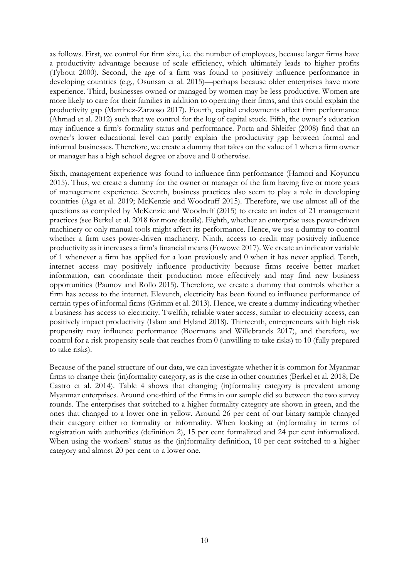as follows. First, we control for firm size, i.e. the number of employees, because larger firms have a productivity advantage because of scale efficiency, which ultimately leads to higher profits (Tybout 2000). Second, the age of a firm was found to positively influence performance in developing countries (e.g., Osunsan et al. 2015)—perhaps because older enterprises have more experience. Third, businesses owned or managed by women may be less productive. Women are more likely to care for their families in addition to operating their firms, and this could explain the productivity gap (Martínez-Zarzoso 2017). Fourth, capital endowments affect firm performance (Ahmad et al. 2012) such that we control for the log of capital stock. Fifth, the owner's education may influence a firm's formality status and performance. Porta and Shleifer (2008) find that an owner's lower educational level can partly explain the productivity gap between formal and informal businesses. Therefore, we create a dummy that takes on the value of 1 when a firm owner or manager has a high school degree or above and 0 otherwise.

Sixth, management experience was found to influence firm performance (Hamori and Koyuncu 2015). Thus, we create a dummy for the owner or manager of the firm having five or more years of management experience. Seventh, business practices also seem to play a role in developing countries (Aga et al. 2019; McKenzie and Woodruff 2015). Therefore, we use almost all of the questions as compiled by McKenzie and Woodruff (2015) to create an index of 21 management practices (see Berkel et al. 2018 for more details). Eighth, whether an enterprise uses power-driven machinery or only manual tools might affect its performance. Hence, we use a dummy to control whether a firm uses power-driven machinery. Ninth, access to credit may positively influence productivity as it increases a firm's financial means (Fowowe 2017). We create an indicator variable of 1 whenever a firm has applied for a loan previously and 0 when it has never applied. Tenth, internet access may positively influence productivity because firms receive better market information, can coordinate their production more effectively and may find new business opportunities (Paunov and Rollo 2015). Therefore, we create a dummy that controls whether a firm has access to the internet. Eleventh, electricity has been found to influence performance of certain types of informal firms (Grimm et al. 2013). Hence, we create a dummy indicating whether a business has access to electricity. Twelfth, reliable water access, similar to electricity access, can positively impact productivity (Islam and Hyland 2018). Thirteenth, entrepreneurs with high risk propensity may influence performance (Boermans and Willebrands 2017), and therefore, we control for a risk propensity scale that reaches from 0 (unwilling to take risks) to 10 (fully prepared to take risks).

Because of the panel structure of our data, we can investigate whether it is common for Myanmar firms to change their (in)formality category, as is the case in other countries (Berkel et al. 2018; De Castro et al. 2014). Table 4 shows that changing (in)formality category is prevalent among Myanmar enterprises. Around one-third of the firms in our sample did so between the two survey rounds. The enterprises that switched to a higher formality category are shown in green, and the ones that changed to a lower one in yellow. Around 26 per cent of our binary sample changed their category either to formality or informality. When looking at (in)formality in terms of registration with authorities (definition 2), 15 per cent formalized and 24 per cent informalized. When using the workers' status as the (in)formality definition, 10 per cent switched to a higher category and almost 20 per cent to a lower one.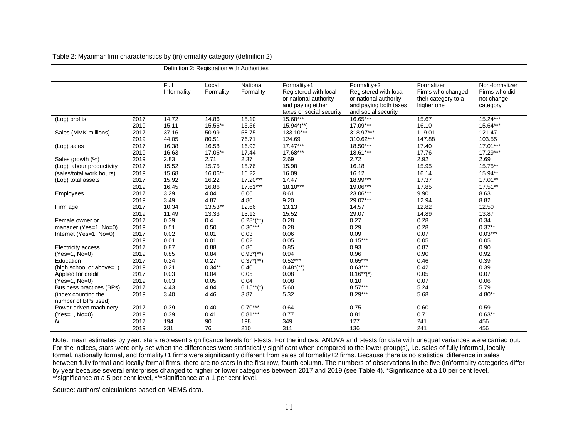|                                 |      |                     | Definition 2: Registration with Authorities |                            |                                                                                                                |                                                                                                               |                                                                      |                                                           |
|---------------------------------|------|---------------------|---------------------------------------------|----------------------------|----------------------------------------------------------------------------------------------------------------|---------------------------------------------------------------------------------------------------------------|----------------------------------------------------------------------|-----------------------------------------------------------|
|                                 |      | Full<br>Informality | Local<br>Formality                          | National<br>Formality      | Formality+1<br>Registered with local<br>or national authority<br>and paying either<br>taxes or social security | Formality+2<br>Registered with local<br>or national authority<br>and paying both taxes<br>and social security | Formalizer<br>Firms who changed<br>their category to a<br>higher one | Non-formalizer<br>Firms who did<br>not change<br>category |
| (Log) profits                   | 2017 | 14.72               | 14.86                                       | 15.10                      | 15.68***                                                                                                       | 16.65***                                                                                                      | 15.67                                                                | $15.24***$                                                |
|                                 | 2019 | 15.11               | 15.56**                                     | 15.56                      | $15.94^{*(**)}$                                                                                                | 17.09***                                                                                                      | 16.10                                                                | 15.64***                                                  |
| Sales (MMK millions)            | 2017 | 37.16               | 50.99                                       | 58.75                      | 133.10***                                                                                                      | 318.97***                                                                                                     | 119.01                                                               | 121.47                                                    |
|                                 | 2019 | 44.05               | 80.51                                       | 76.71                      | 124.69                                                                                                         | 310.62***                                                                                                     | 147.88                                                               | 103.55                                                    |
| (Log) sales                     | 2017 | 16.38               | 16.58                                       | 16.93                      | $17.47***$                                                                                                     | 18.50***                                                                                                      | 17.40                                                                | $17.01***$                                                |
|                                 | 2019 | 16.63               | 17.06**                                     | 17.44                      | 17.68***                                                                                                       | 18.61***                                                                                                      | 17.76                                                                | 17.29***                                                  |
| Sales growth (%)                | 2019 | 2.83                | 2.71                                        | 2.37                       | 2.69                                                                                                           | 2.72                                                                                                          | 2.92                                                                 | 2.69                                                      |
| (Log) labour productivity       | 2017 | 15.52               | 15.75                                       | 15.76                      | 15.98                                                                                                          | 16.18                                                                                                         | 15.95                                                                | 15.75**                                                   |
| (sales/total work hours)        | 2019 | 15.68               | 16.06**                                     | 16.22                      | 16.09                                                                                                          | 16.12                                                                                                         | 16.14                                                                | 15.94**                                                   |
| (Log) total assets              | 2017 | 15.92               | 16.22                                       | $17.20***$                 | 17.47                                                                                                          | 18.99***                                                                                                      | 17.37                                                                | $17.01**$                                                 |
|                                 | 2019 | 16.45               | 16.86                                       | 17.61***                   | $18.10***$                                                                                                     | 19.06***                                                                                                      | 17.85                                                                | 17.51**                                                   |
| Employees                       | 2017 | 3.29                | 4.04                                        | 6.06                       | 8.61                                                                                                           | 23.06***                                                                                                      | 9.90                                                                 | 8.63                                                      |
|                                 | 2019 | 3.49                | 4.87                                        | 4.80                       | 9.20                                                                                                           | 29.07***                                                                                                      | 12.94                                                                | 8.82                                                      |
| Firm age                        | 2017 | 10.34               | 13.53**                                     | 12.66                      | 13.13                                                                                                          | 14.57                                                                                                         | 12.82                                                                | 12.50                                                     |
|                                 | 2019 | 11.49               | 13.33                                       | 13.12                      | 15.52                                                                                                          | 29.07                                                                                                         | 14.89                                                                | 13.87                                                     |
| Female owner or                 | 2017 | 0.39                | 0.4                                         | $0.28^{*(**)}$             | 0.28                                                                                                           | 0.27                                                                                                          | 0.28                                                                 | 0.34                                                      |
| manager (Yes=1, No=0)           | 2019 | 0.51                | 0.50                                        | $0.30***$                  | 0.28                                                                                                           | 0.29                                                                                                          | 0.28                                                                 | $0.37**$                                                  |
| Internet (Yes=1, No=0)          | 2017 | 0.02                | 0.01                                        | 0.03                       | 0.06                                                                                                           | 0.09                                                                                                          | 0.07                                                                 | $0.03***$                                                 |
|                                 | 2019 | 0.01                | 0.01                                        | 0.02                       | 0.05                                                                                                           | $0.15***$                                                                                                     | 0.05                                                                 | 0.05                                                      |
| <b>Electricity access</b>       | 2017 | 0.87                | 0.88                                        | 0.86                       | 0.85                                                                                                           | 0.93                                                                                                          | 0.87                                                                 | 0.90                                                      |
| $(Yes=1, No=0)$                 | 2019 | 0.85                | 0.84                                        | $0.93^{*(**)}$             | 0.94                                                                                                           | 0.96                                                                                                          | 0.90                                                                 | 0.92                                                      |
| Education                       | 2017 | 0.24                | 0.27                                        | $0.37^{*}$ <sup>*</sup> *) | $0.52***$                                                                                                      | $0.65***$                                                                                                     | 0.46                                                                 | 0.39                                                      |
| (high school or above=1)        | 2019 | 0.21                | $0.34**$                                    | 0.40                       | $0.48^{*}$ <sup>*</sup> *)                                                                                     | $0.63***$                                                                                                     | 0.42                                                                 | 0.39                                                      |
| Applied for credit              | 2017 | 0.03                | 0.04                                        | 0.05                       | 0.08                                                                                                           | $0.16**$ <sup>*</sup> (*)                                                                                     | 0.05                                                                 | 0.07                                                      |
| $(Yes=1, No=0)$                 | 2019 | 0.03                | 0.05                                        | 0.04                       | 0.08                                                                                                           | 0.10                                                                                                          | 0.07                                                                 | 0.06                                                      |
| <b>Business practices (BPs)</b> | 2017 | 4.43                | 4.84                                        | $6.15**$ <sup>*</sup> (*)  | 5.60                                                                                                           | $8.57***$                                                                                                     | 5.24                                                                 | 5.79                                                      |
| (index counting the             | 2019 | 3.40                | 4.46                                        | 3.87                       | 5.32                                                                                                           | $8.29***$                                                                                                     | 5.68                                                                 | $4.80**$                                                  |
| number of BPs used)             |      |                     |                                             |                            |                                                                                                                |                                                                                                               |                                                                      |                                                           |
| Power-driven machinery          | 2017 | 0.39                | 0.40                                        | $0.70***$                  | 0.64                                                                                                           | 0.75                                                                                                          | 0.60                                                                 | 0.59                                                      |
| $(Yes=1, No=0)$                 | 2019 | 0.39                | 0.41                                        | $0.81***$                  | 0.77                                                                                                           | 0.81                                                                                                          | 0.71                                                                 | $0.63**$                                                  |
| N                               | 2017 | 194                 | 90                                          | 198                        | 349                                                                                                            | 127                                                                                                           | 241                                                                  | 456                                                       |
|                                 | 2019 | 231                 | 76                                          | 210                        | 311                                                                                                            | 136                                                                                                           | 241                                                                  | 456                                                       |

Table 2: Myanmar firm characteristics by (in)formality category (definition 2)

Note: mean estimates by year, stars represent significance levels for t-tests. For the indices, ANOVA and t-tests for data with unequal variances were carried out. For the indices, stars were only set when the differences were statistically significant when compared to the lower group(s), i.e. sales of fully informal, locally formal, nationally formal, and formality+1 firms were significantly different from sales of formality+2 firms. Because there is no statistical difference in sales between fully formal and locally formal firms, there are no stars in the first row, fourth column. The numbers of observations in the five (in)formality categories differ by year because several enterprises changed to higher or lower categories between 2017 and 2019 (see Table 4). \*Significance at a 10 per cent level, \*\*significance at a 5 per cent level, \*\*\*significance at a 1 per cent level.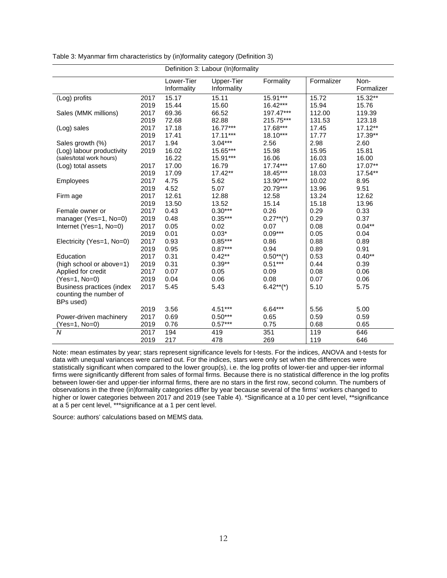Table 3: Myanmar firm characteristics by (in)formality category (Definition 3)

|                           |      | Definition 3: Labour (In)formality |             |                           |            |            |  |  |  |
|---------------------------|------|------------------------------------|-------------|---------------------------|------------|------------|--|--|--|
|                           |      | Lower-Tier                         | Upper-Tier  | Formality                 | Formalizer | Non-       |  |  |  |
|                           |      | Informality                        | Informality |                           |            | Formalizer |  |  |  |
| (Log) profits             | 2017 | 15.17                              | 15.11       | 15.91***                  | 15.72      | 15.32**    |  |  |  |
|                           | 2019 | 15.44                              | 15.60       | 16.42***                  | 15.94      | 15.76      |  |  |  |
| Sales (MMK millions)      | 2017 | 69.36                              | 66.52       | 197.47***                 | 112.00     | 119.39     |  |  |  |
|                           | 2019 | 72.68                              | 82.88       | 215.75***                 | 131.53     | 123.18     |  |  |  |
| (Log) sales               | 2017 | 17.18                              | $16.77***$  | 17.68***                  | 17.45      | 17.12**    |  |  |  |
|                           | 2019 | 17.41                              | $17.11***$  | 18.10***                  | 17.77      | 17.39**    |  |  |  |
| Sales growth (%)          | 2017 | 1.94                               | $3.04***$   | 2.56                      | 2.98       | 2.60       |  |  |  |
| (Log) labour productivity | 2019 | 16.02                              | 15.65***    | 15.98                     | 15.95      | 15.81      |  |  |  |
| (sales/total work hours)  |      | 16.22                              | 15.91***    | 16.06                     | 16.03      | 16.00      |  |  |  |
| (Log) total assets        | 2017 | 17.00                              | 16.79       | $17.74***$                | 17.60      | 17.07**    |  |  |  |
|                           | 2019 | 17.09                              | 17.42**     | 18.45***                  | 18.03      | 17.54**    |  |  |  |
| Employees                 | 2017 | 4.75                               | 5.62        | 13.90***                  | 10.02      | 8.95       |  |  |  |
|                           | 2019 | 4.52                               | 5.07        | 20.79***                  | 13.96      | 9.51       |  |  |  |
| Firm age                  | 2017 | 12.61                              | 12.88       | 12.58                     | 13.24      | 12.62      |  |  |  |
|                           | 2019 | 13.50                              | 13.52       | 15.14                     | 15.18      | 13.96      |  |  |  |
| Female owner or           | 2017 | 0.43                               | $0.30***$   | 0.26                      | 0.29       | 0.33       |  |  |  |
| manager (Yes=1, No=0)     | 2019 | 0.48                               | $0.35***$   | $0.27**$ <sup>*</sup> (*) | 0.29       | 0.37       |  |  |  |
| Internet (Yes=1, No=0)    | 2017 | 0.05                               | 0.02        | 0.07                      | 0.08       | $0.04***$  |  |  |  |
|                           | 2019 | 0.01                               | $0.03*$     | $0.09***$                 | 0.05       | 0.04       |  |  |  |
| Electricity (Yes=1, No=0) | 2017 | 0.93                               | $0.85***$   | 0.86                      | 0.88       | 0.89       |  |  |  |
|                           | 2019 | 0.95                               | $0.87***$   | 0.94                      | 0.89       | 0.91       |  |  |  |
| Education                 | 2017 | 0.31                               | $0.42***$   | $0.50**(*)$               | 0.53       | $0.40**$   |  |  |  |
| (high school or above=1)  | 2019 | 0.31                               | $0.39**$    | $0.51***$                 | 0.44       | 0.39       |  |  |  |
| Applied for credit        | 2017 | 0.07                               | 0.05        | 0.09                      | 0.08       | 0.06       |  |  |  |
| (Yes=1, No=0)             | 2019 | 0.04                               | 0.06        | 0.08                      | 0.07       | 0.06       |  |  |  |
| Business practices (index | 2017 | 5.45                               | 5.43        | $6.42**$ <sup>*</sup> (*) | 5.10       | 5.75       |  |  |  |
| counting the number of    |      |                                    |             |                           |            |            |  |  |  |
| BPs used)                 |      |                                    |             |                           |            |            |  |  |  |
|                           | 2019 | 3.56                               | 4.51***     | $6.64***$                 | 5.56       | 5.00       |  |  |  |
| Power-driven machinery    | 2017 | 0.69                               | $0.50***$   | 0.65                      | 0.59       | 0.59       |  |  |  |
| $(Yes=1, No=0)$           | 2019 | 0.76                               | $0.57***$   | 0.75                      | 0.68       | 0.65       |  |  |  |
| N                         | 2017 | 194                                | 419         | 351                       | 119        | 646        |  |  |  |
|                           | 2019 | 217                                | 478         | 269                       | 119        | 646        |  |  |  |

Note: mean estimates by year; stars represent significance levels for t-tests. For the indices, ANOVA and t-tests for data with unequal variances were carried out. For the indices, stars were only set when the differences were statistically significant when compared to the lower group(s), i.e. the log profits of lower-tier and upper-tier informal firms were significantly different from sales of formal firms. Because there is no statistical difference in the log profits between lower-tier and upper-tier informal firms, there are no stars in the first row, second column. The numbers of observations in the three (in)formality categories differ by year because several of the firms' workers changed to higher or lower categories between 2017 and 2019 (see Table 4). \*Significance at a 10 per cent level, \*\*significance at a 5 per cent level, \*\*\*significance at a 1 per cent level.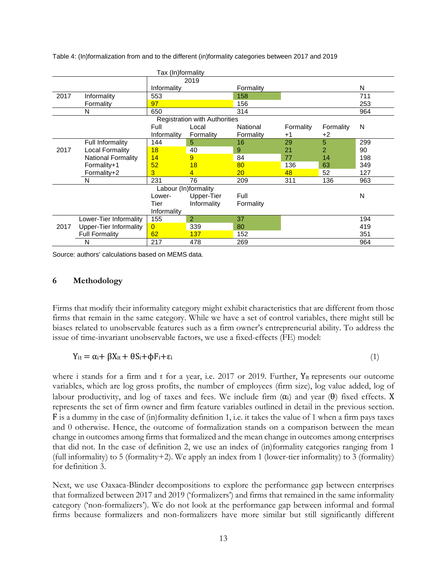Table 4: (In)formalization from and to the different (in)formality categories between 2017 and 2019

|      |                               | Tax (In)formality    |                                      |           |           |                |     |
|------|-------------------------------|----------------------|--------------------------------------|-----------|-----------|----------------|-----|
|      |                               |                      | 2019                                 |           |           |                |     |
|      |                               | Informality          |                                      | Formality |           |                | N   |
| 2017 | Informality                   | 553                  |                                      | 158       |           |                | 711 |
|      | Formality                     | 97                   |                                      | 156       |           |                | 253 |
|      | N                             | 650                  |                                      | 314       | 964       |                |     |
|      |                               |                      | <b>Registration with Authorities</b> |           |           |                |     |
|      |                               | Full                 | Local                                | National  | Formality | Formality      | N   |
|      |                               | Informality          | Formality                            | Formality | $+1$      | +2             |     |
|      | Full Informality              | 144                  | 5                                    | 16        | 29        | 5              | 299 |
| 2017 | <b>Local Formality</b>        | 18                   | 40                                   | 9         | 21        | $\overline{2}$ | 90  |
|      | <b>National Formality</b>     | 14                   | 9                                    | 84        | 77        | 14             | 198 |
|      | Formality+1                   | 52                   | 18                                   | 80        | 136       | 63             | 349 |
|      | Formality+2                   | 3                    | 4                                    | 20        | 48        | 52             | 127 |
|      | N                             | 231                  | 76                                   | 209       | 311       | 136            | 963 |
|      |                               | Labour (In)formality |                                      |           |           |                |     |
|      |                               | Lower-               | Upper-Tier                           | Full      |           |                | N   |
|      |                               | Tier                 | Informality                          | Formality |           |                |     |
|      |                               | Informality          |                                      |           |           |                |     |
|      | Lower-Tier Informality        | 155                  | $\overline{2}$                       | 37        |           |                | 194 |
| 2017 | <b>Upper-Tier Informality</b> | $\overline{0}$       | 339                                  | 80        |           |                | 419 |
|      | <b>Full Formality</b>         | 62                   | 137                                  | 152       |           |                | 351 |
|      | N                             | 217                  | 478                                  | 269       |           |                | 964 |

Source: authors' calculations based on MEMS data.

#### **6 Methodology**

Firms that modify their informality category might exhibit characteristics that are different from those firms that remain in the same category. While we have a set of control variables, there might still be biases related to unobservable features such as a firm owner's entrepreneurial ability. To address the issue of time-invariant unobservable factors, we use a fixed-effects (FE) model:

$$
Y_{it} = \alpha_i + \beta X_{it} + \theta S_i + \phi F_i + \epsilon_i
$$
\n<sup>(1)</sup>

where i stands for a firm and t for a year, i.e. 2017 or 2019. Further, Y<sub>it</sub> represents our outcome variables, which are log gross profits, the number of employees (firm size), log value added, log of labour productivity, and log of taxes and fees. We include firm  $(\alpha_i)$  and year  $(\theta)$  fixed effects. X represents the set of firm owner and firm feature variables outlined in detail in the previous section. F is a dummy in the case of (in)formality definition 1, i.e. it takes the value of 1 when a firm pays taxes and 0 otherwise. Hence, the outcome of formalization stands on a comparison between the mean change in outcomes among firms that formalized and the mean change in outcomes among enterprises that did not. In the case of definition 2, we use an index of (in)formality categories ranging from 1 (full informality) to 5 (formality+2). We apply an index from 1 (lower-tier informality) to 3 (formality) for definition 3.

Next, we use Oaxaca-Blinder decompositions to explore the performance gap between enterprises that formalized between 2017 and 2019 ('formalizers') and firms that remained in the same informality category ('non-formalizers'). We do not look at the performance gap between informal and formal firms because formalizers and non-formalizers have more similar but still significantly different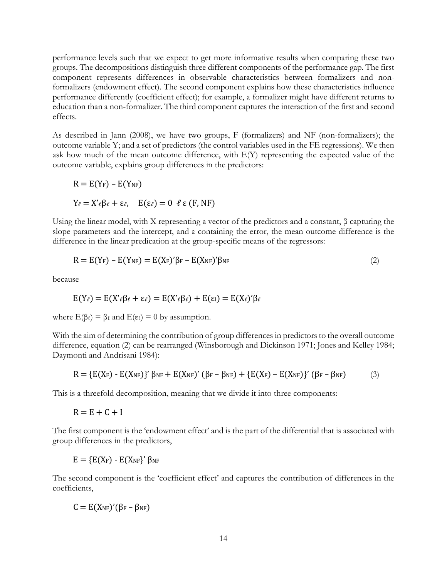performance levels such that we expect to get more informative results when comparing these two groups. The decompositions distinguish three different components of the performance gap. The first component represents differences in observable characteristics between formalizers and nonformalizers (endowment effect). The second component explains how these characteristics influence performance differently (coefficient effect); for example, a formalizer might have different returns to education than a non-formalizer. The third component captures the interaction of the first and second effects.

As described in Jann (2008), we have two groups, F (formalizers) and NF (non-formalizers); the outcome variable Y; and a set of predictors (the control variables used in the FE regressions). We then ask how much of the mean outcome difference, with E(Y) representing the expected value of the outcome variable, explains group differences in the predictors:

$$
R = E(Y_F) - E(Y_{NF})
$$
  
\n
$$
Y_{\ell} = X'_{\ell} \beta_{\ell} + \varepsilon_{\ell}, \quad E(\varepsilon_{\ell}) = 0 \quad \ell \varepsilon (F, NF)
$$

Using the linear model, with X representing a vector of the predictors and a constant, β capturing the slope parameters and the intercept, and ε containing the error, the mean outcome difference is the difference in the linear predication at the group-specific means of the regressors:

$$
R = E(Y_F) - E(Y_{NF}) = E(X_F)' \beta_F - E(X_{NF})' \beta_{NF}
$$
\n(2)

because

$$
E(Y_{\ell}) = E(X'\_{\ell}\beta_{\ell} + \varepsilon_{\ell}) = E(X'\_{ell}\beta_{\ell}) + E(\varepsilon_{\mathbb{I}}) = E(X_{\ell})'\beta_{\ell}
$$

where  $E(\beta_\ell) = \beta_\ell$  and  $E(\epsilon_\ell) = 0$  by assumption.

With the aim of determining the contribution of group differences in predictors to the overall outcome difference, equation (2) can be rearranged (Winsborough and Dickinson 1971; Jones and Kelley 1984; Daymonti and Andrisani 1984):

$$
R = \{E(X_F) - E(X_{NF})\}^{\prime} \beta_{NF} + E(X_{NF})^{\prime} (\beta_F - \beta_{NF}) + \{E(X_F) - E(X_{NF})\}^{\prime} (\beta_F - \beta_{NF})
$$
 (3)

This is a threefold decomposition, meaning that we divide it into three components:

 $R = E + C + I$ 

The first component is the 'endowment effect' and is the part of the differential that is associated with group differences in the predictors,

 $E = \{E(X_F) - E(X_{NF})'\beta_{NF}\}$ 

The second component is the 'coefficient effect' and captures the contribution of differences in the coefficients,

 $C = E(X_{NF})'(\beta_F - \beta_{NF})$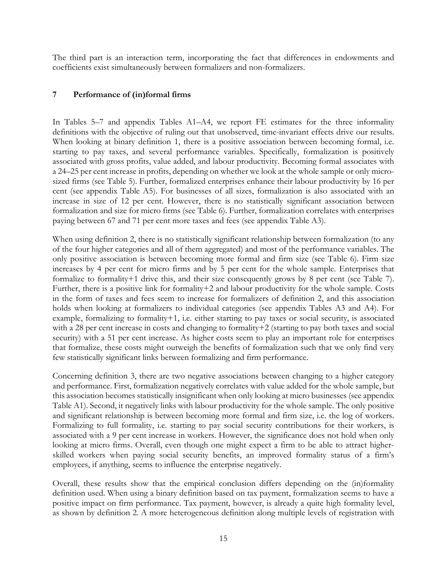The third part is an interaction term, incorporating the fact that differences in endowments and coefficients exist simultaneously between formalizers and non-formalizers.

## **7 Performance of (in)formal firms**

In Tables 5–7 and appendix Tables A1–A4, we report FE estimates for the three informality definitions with the objective of ruling out that unobserved, time-invariant effects drive our results. When looking at binary definition 1, there is a positive association between becoming formal, i.e. starting to pay taxes, and several performance variables. Specifically, formalization is positively associated with gross profits, value added, and labour productivity. Becoming formal associates with a 24–25 per cent increase in profits, depending on whether we look at the whole sample or only microsized firms (see Table 5). Further, formalized enterprises enhance their labour productivity by 16 per cent (see appendix Table A5). For businesses of all sizes, formalization is also associated with an increase in size of 12 per cent. However, there is no statistically significant association between formalization and size for micro firms (see Table 6). Further, formalization correlates with enterprises paying between 67 and 71 per cent more taxes and fees (see appendix Table A3).

When using definition 2, there is no statistically significant relationship between formalization (to any of the four higher categories and all of them aggregated) and most of the performance variables. The only positive association is between becoming more formal and firm size (see Table 6). Firm size increases by 4 per cent for micro firms and by 5 per cent for the whole sample. Enterprises that formalize to formality+1 drive this, and their size consequently grows by 8 per cent (see Table 7). Further, there is a positive link for formality+2 and labour productivity for the whole sample. Costs in the form of taxes and fees seem to increase for formalizers of definition 2, and this association holds when looking at formalizers to individual categories (see appendix Tables A3 and A4). For example, formalizing to formality+1, i.e. either starting to pay taxes or social security, is associated with a 28 per cent increase in costs and changing to formality+2 (starting to pay both taxes and social security) with a 51 per cent increase. As higher costs seem to play an important role for enterprises that formalize, these costs might outweigh the benefits of formalization such that we only find very few statistically significant links between formalizing and firm performance.

Concerning definition 3, there are two negative associations between changing to a higher category and performance. First, formalization negatively correlates with value added for the whole sample, but this association becomes statistically insignificant when only looking at micro businesses (see appendix Table A1). Second, it negatively links with labour productivity for the whole sample. The only positive and significant relationship is between becoming more formal and firm size, i.e. the log of workers. Formalizing to full formality, i.e. starting to pay social security contributions for their workers, is associated with a 9 per cent increase in workers. However, the significance does not hold when only looking at micro firms. Overall, even though one might expect a firm to be able to attract higherskilled workers when paying social security benefits, an improved formality status of a firm's employees, if anything, seems to influence the enterprise negatively.

Overall, these results show that the empirical conclusion differs depending on the (in)formality definition used. When using a binary definition based on tax payment, formalization seems to have a positive impact on firm performance. Tax payment, however, is already a quite high formality level, as shown by definition 2. A more heterogeneous definition along multiple levels of registration with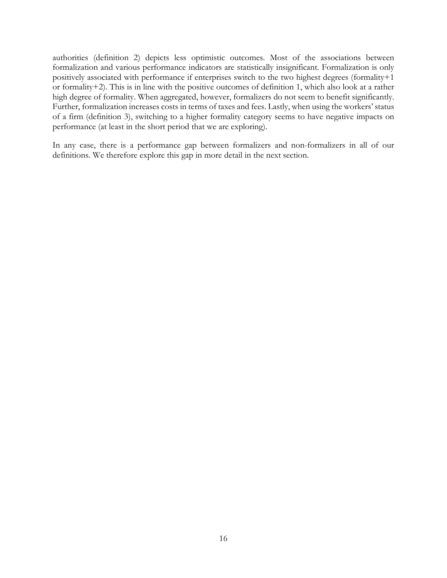authorities (definition 2) depicts less optimistic outcomes. Most of the associations between formalization and various performance indicators are statistically insignificant. Formalization is only positively associated with performance if enterprises switch to the two highest degrees (formality+1 or formality+2). This is in line with the positive outcomes of definition 1, which also look at a rather high degree of formality. When aggregated, however, formalizers do not seem to benefit significantly. Further, formalization increases costs in terms of taxes and fees. Lastly, when using the workers' status of a firm (definition 3), switching to a higher formality category seems to have negative impacts on performance (at least in the short period that we are exploring).

In any case, there is a performance gap between formalizers and non-formalizers in all of our definitions. We therefore explore this gap in more detail in the next section.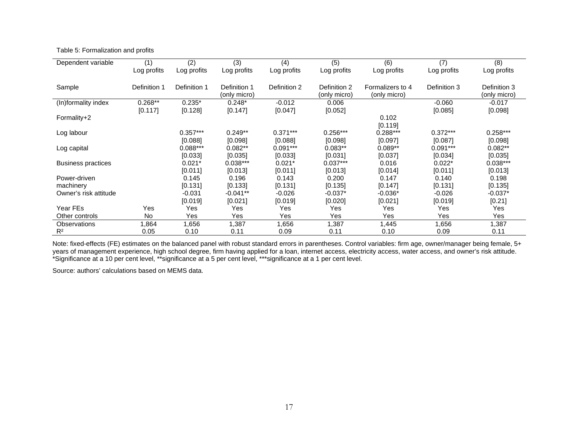| Dependent variable        | (1)          | (2)          | (3)          | (4)          | (5)          | (6)              | (7)          | (8)          |
|---------------------------|--------------|--------------|--------------|--------------|--------------|------------------|--------------|--------------|
|                           | Log profits  | Log profits  | Log profits  | Log profits  | Log profits  | Log profits      | Log profits  | Log profits  |
|                           |              |              |              |              |              |                  |              |              |
| Sample                    | Definition 1 | Definition 1 | Definition 1 | Definition 2 | Definition 2 | Formalizers to 4 | Definition 3 | Definition 3 |
|                           |              |              | (only micro) |              | (only micro) | (only micro)     |              | (only micro) |
| (In)formality index       | $0.268**$    | $0.235*$     | $0.248*$     | $-0.012$     | 0.006        |                  | $-0.060$     | $-0.017$     |
|                           | [0.117]      | [0.128]      | [0.147]      | [0.047]      | [0.052]      |                  | [0.085]      | [0.098]      |
| Formality+2               |              |              |              |              |              | 0.102            |              |              |
|                           |              |              |              |              |              | [0.119]          |              |              |
| Log labour                |              | $0.357***$   | $0.249**$    | $0.371***$   | $0.256***$   | $0.288***$       | $0.372***$   | $0.258***$   |
|                           |              | [0.088]      | [0.098]      | [0.088]      | [0.098]      | [0.097]          | [0.087]      | [0.098]      |
| Log capital               |              | $0.088***$   | $0.082**$    | $0.091***$   | $0.083**$    | $0.089**$        | $0.091***$   | $0.082**$    |
|                           |              | [0.033]      | [0.035]      | [0.033]      | [0.031]      | [0.037]          | [0.034]      | [0.035]      |
| <b>Business practices</b> |              | $0.021*$     | $0.038***$   | $0.021*$     | $0.037***$   | 0.016            | $0.022*$     | $0.038***$   |
|                           |              | [0.011]      | [0.013]      | [0.011]      | [0.013]      | [0.014]          | [0.011]      | [0.013]      |
| Power-driven              |              | 0.145        | 0.196        | 0.143        | 0.200        | 0.147            | 0.140        | 0.198        |
| machinery                 |              | [0.131]      | [0.133]      | [0.131]      | [0.135]      | [0.147]          | [0.131]      | [0.135]      |
| Owner's risk attitude     |              | $-0.031$     | $-0.041**$   | $-0.026$     | $-0.037*$    | $-0.036*$        | $-0.026$     | $-0.037*$    |
|                           |              | [0.019]      | [0.021]      | [0.019]      | [0.020]      | [0.021]          | [0.019]      | [0.21]       |
| Year FEs                  | Yes          | Yes          | Yes          | Yes          | Yes          | Yes              | Yes          | Yes          |
| Other controls            | <b>No</b>    | Yes          | Yes          | Yes          | Yes          | Yes              | Yes          | Yes          |
| Observations              | 1,864        | 1,656        | 1,387        | 1,656        | 1,387        | 1,445            | 1,656        | 1,387        |
| $R^2$                     | 0.05         | 0.10         | 0.11         | 0.09         | 0.11         | 0.10             | 0.09         | 0.11         |

Table 5: Formalization and profits

Note: fixed-effects (FE) estimates on the balanced panel with robust standard errors in parentheses. Control variables: firm age, owner/manager being female, 5+ years of management experience, high school degree, firm having applied for a loan, internet access, electricity access, water access, and owner's risk attitude. \*Significance at a 10 per cent level, \*\*significance at a 5 per cent level, \*\*\*significance at a 1 per cent level.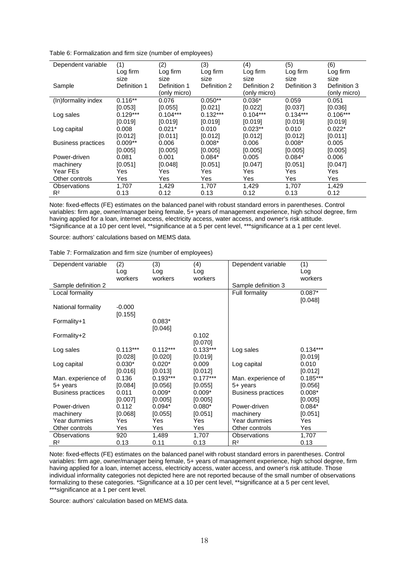Table 6: Formalization and firm size (number of employees)

| Dependent variable        | (1)          | (2)          | (3)          | (4)          | (5)          | (6)          |
|---------------------------|--------------|--------------|--------------|--------------|--------------|--------------|
|                           | Log firm     | Log firm     | Log firm     | Log firm     | Log firm     | Log firm     |
|                           | size         | size         | size         | size         | size         | size         |
| Sample                    | Definition 1 | Definition 1 | Definition 2 | Definition 2 | Definition 3 | Definition 3 |
|                           |              | (only micro) |              | (only micro) |              | (only micro) |
| (In)formality index       | $0.116**$    | 0.076        | $0.050**$    | $0.036*$     | 0.059        | 0.051        |
|                           | [0.053]      | [0.055]      | [0.021]      | [0.022]      | [0.037]      | [0.036]      |
| Log sales                 | $0.129***$   | $0.104***$   | $0.132***$   | $0.104***$   | $0.134***$   | $0.106***$   |
|                           | [0.019]      | [0.019]      | [0.019]      | [0.019]      | [0.019]      | [0.019]      |
| Log capital               | 0.008        | $0.021*$     | 0.010        | $0.023**$    | 0.010        | $0.022*$     |
|                           | [0.012]      | [0.011]      | [0.012]      | [0.012]      | [0.012]      | [0.011]      |
| <b>Business practices</b> | $0.009**$    | 0.006        | $0.008*$     | 0.006        | $0.008*$     | 0.005        |
|                           | [0.005]      | [0.005]      | [0.005]      | [0.005]      | [0.005]      | [0.005]      |
| Power-driven              | 0.081        | 0.001        | $0.084*$     | 0.005        | $0.084*$     | 0.006        |
| machinery                 | [0.051]      | [0.048]      | [0.051]      | [0.047]      | [0.051]      | [0.047]      |
| Year FEs                  | Yes          | Yes          | Yes          | Yes          | Yes          | Yes          |
| Other controls            | Yes          | Yes          | Yes          | Yes          | Yes          | Yes          |
| Observations              | 1.707        | 1,429        | 1.707        | 1.429        | 1,707        | 1,429        |
| R <sup>2</sup>            | 0.13         | 0.12         | 0.13         | 0.12         | 0.13         | 0.12         |

Note: fixed-effects (FE) estimates on the balanced panel with robust standard errors in parentheses. Control variables: firm age, owner/manager being female, 5+ years of management experience, high school degree, firm having applied for a loan, internet access, electricity access, water access, and owner's risk attitude. \*Significance at a 10 per cent level, \*\*significance at a 5 per cent level, \*\*\*significance at a 1 per cent level.

Source: authors' calculations based on MEMS data.

Table 7: Formalization and firm size (number of employees)

| Dependent variable        | (2)        | (3)        | (4)            | Dependent variable        | (1)        |
|---------------------------|------------|------------|----------------|---------------------------|------------|
|                           | Log        | Log        | Log<br>workers |                           | Log        |
|                           | workers    | workers    |                |                           | workers    |
| Sample definition 2       |            |            |                | Sample definition 3       |            |
| Local formality           |            |            |                | Full formality            | $0.087*$   |
|                           |            |            |                |                           | [0.048]    |
| National formality        | $-0.000$   |            |                |                           |            |
|                           | [0.155]    |            |                |                           |            |
| Formality+1               |            | $0.083*$   |                |                           |            |
|                           |            | [0.046]    |                |                           |            |
| Formality+2               |            |            | 0.102          |                           |            |
|                           |            |            | [0.070]        |                           |            |
| Log sales                 | $0.113***$ | $0.112***$ | $0.133***$     | Log sales                 | $0.134***$ |
|                           | [0.028]    | [0.020]    | [0.019]        |                           | [0.019]    |
| Log capital               | $0.030*$   | $0.020*$   | 0.009          | Log capital               | 0.010      |
|                           | [0.016]    | [0.013]    | [0.012]        |                           | [0.012]    |
| Man. experience of        | 0.136      | $0.193***$ | $0.177***$     | Man. experience of        | $0.185***$ |
| 5+ years                  | [0.084]    | [0.056]    | [0.055]        | 5+ years                  | [0.056]    |
| <b>Business practices</b> | 0.011      | $0.009*$   | $0.009*$       | <b>Business practices</b> | $0.008*$   |
|                           | [0.007]    | [0.005]    | [0.005]        |                           | [0.005]    |
| Power-driven              | 0.112      | $0.094*$   | $0.080*$       | Power-driven              | $0.084*$   |
| machinery                 | [0.068]    | [0.055]    | [0.051]        | machinery                 | [0.051]    |
| Year dummies              | Yes        | Yes        | Yes            | Year dummies              | Yes        |
| Other controls            | Yes        | Yes        | Yes            | Other controls            | Yes        |
| Observations              | 920        | 1,489      | 1,707          | Observations              | 1,707      |
| R <sup>2</sup>            | 0.13       | 0.11       | 0.13           | $R^2$                     | 0.13       |

Note: fixed-effects (FE) estimates on the balanced panel with robust standard errors in parentheses. Control variables: firm age, owner/manager being female, 5+ years of management experience, high school degree, firm having applied for a loan, internet access, electricity access, water access, and owner's risk attitude. Those individual informality categories not depicted here are not reported because of the small number of observations formalizing to these categories. \*Significance at a 10 per cent level, \*\*significance at a 5 per cent level, \*\*\*significance at a 1 per cent level.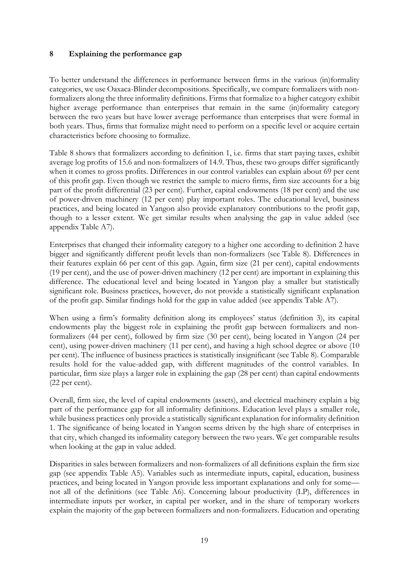# **8 Explaining the performance gap**

To better understand the differences in performance between firms in the various (in)formality categories, we use Oaxaca-Blinder decompositions. Specifically, we compare formalizers with nonformalizers along the three informality definitions. Firms that formalize to a higher category exhibit higher average performance than enterprises that remain in the same (in)formality category between the two years but have lower average performance than enterprises that were formal in both years. Thus, firms that formalize might need to perform on a specific level or acquire certain characteristics before choosing to formalize.

Table 8 shows that formalizers according to definition 1, i.e. firms that start paying taxes, exhibit average log profits of 15.6 and non-formalizers of 14.9. Thus, these two groups differ significantly when it comes to gross profits. Differences in our control variables can explain about 69 per cent of this profit gap. Even though we restrict the sample to micro firms, firm size accounts for a big part of the profit differential (23 per cent). Further, capital endowments (18 per cent) and the use of power-driven machinery (12 per cent) play important roles. The educational level, business practices, and being located in Yangon also provide explanatory contributions to the profit gap, though to a lesser extent. We get similar results when analysing the gap in value added (see appendix Table A7).

Enterprises that changed their informality category to a higher one according to definition 2 have bigger and significantly different profit levels than non-formalizers (see Table 8). Differences in their features explain 66 per cent of this gap. Again, firm size (21 per cent), capital endowments (19 per cent), and the use of power-driven machinery (12 per cent) are important in explaining this difference. The educational level and being located in Yangon play a smaller but statistically significant role. Business practices, however, do not provide a statistically significant explanation of the profit gap. Similar findings hold for the gap in value added (see appendix Table A7).

When using a firm's formality definition along its employees' status (definition 3), its capital endowments play the biggest role in explaining the profit gap between formalizers and nonformalizers (44 per cent), followed by firm size (30 per cent), being located in Yangon (24 per cent), using power-driven machinery (11 per cent), and having a high school degree or above (10 per cent). The influence of business practices is statistically insignificant (see Table 8). Comparable results hold for the value-added gap, with different magnitudes of the control variables. In particular, firm size plays a larger role in explaining the gap (28 per cent) than capital endowments (22 per cent).

Overall, firm size, the level of capital endowments (assets), and electrical machinery explain a big part of the performance gap for all informality definitions. Education level plays a smaller role, while business practices only provide a statistically significant explanation for informality definition 1. The significance of being located in Yangon seems driven by the high share of enterprises in that city, which changed its informality category between the two years. We get comparable results when looking at the gap in value added.

Disparities in sales between formalizers and non-formalizers of all definitions explain the firm size gap (see appendix Table A5). Variables such as intermediate inputs, capital, education, business practices, and being located in Yangon provide less important explanations and only for some not all of the definitions (see Table A6). Concerning labour productivity (LP), differences in intermediate inputs per worker, in capital per worker, and in the share of temporary workers explain the majority of the gap between formalizers and non-formalizers. Education and operating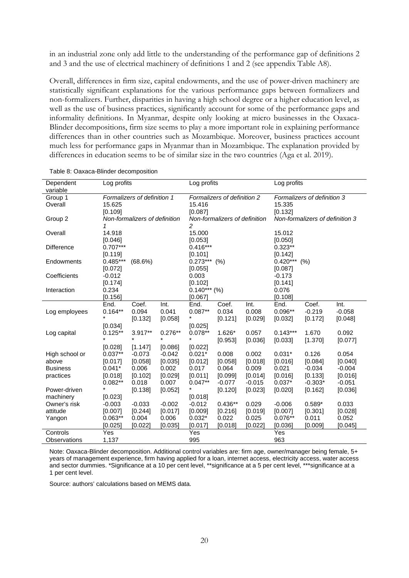in an industrial zone only add little to the understanding of the performance gap of definitions 2 and 3 and the use of electrical machinery of definitions 1 and 2 (see appendix Table A8).

Overall, differences in firm size, capital endowments, and the use of power-driven machinery are statistically significant explanations for the various performance gaps between formalizers and non-formalizers. Further, disparities in having a high school degree or a higher education level, as well as the use of business practices, significantly account for some of the performance gaps and informality definitions. In Myanmar, despite only looking at micro businesses in the Oaxaca-Blinder decompositions, firm size seems to play a more important role in explaining performance differences than in other countries such as Mozambique. Moreover, business practices account much less for performance gaps in Myanmar than in Mozambique. The explanation provided by differences in education seems to be of similar size in the two countries (Aga et al. 2019).

| Dependent<br>variable | Log profits                   |                             |           | Log profits                   |                             |          | Log profits    |                                 |          |  |
|-----------------------|-------------------------------|-----------------------------|-----------|-------------------------------|-----------------------------|----------|----------------|---------------------------------|----------|--|
| Group 1               |                               | Formalizers of definition 1 |           |                               | Formalizers of definition 2 |          |                | Formalizers of definition 3     |          |  |
| Overall               | 15.625                        |                             |           | 15.416                        |                             |          | 15.335         |                                 |          |  |
|                       | [0.109]                       |                             |           | [0.087]                       |                             |          | [0.132]        |                                 |          |  |
| Group 2               | Non-formalizers of definition |                             |           | Non-formalizers of definition |                             |          |                | Non-formalizers of definition 3 |          |  |
|                       |                               |                             |           | 2                             |                             |          |                |                                 |          |  |
| Overall               | 14.918                        |                             |           | 15.000                        |                             |          | 15.012         |                                 |          |  |
|                       | [0.046]                       |                             |           | [0.053]                       |                             |          | [0.050]        |                                 |          |  |
| <b>Difference</b>     | $0.707***$                    |                             |           | $0.416***$                    |                             |          | $0.323**$      |                                 |          |  |
|                       | [0.119]                       |                             |           | [0.101]                       |                             |          | [0.142]        |                                 |          |  |
| Endowments            | $0.485***$                    | (68.6%)                     |           | $0.273***$ (%)                |                             |          | $0.420***$ (%) |                                 |          |  |
|                       | [0.072]                       |                             |           | [0.055]                       |                             |          | [0.087]        |                                 |          |  |
| Coefficients          | $-0.012$                      |                             |           | 0.003                         |                             |          | $-0.173$       |                                 |          |  |
|                       | [0.174]                       |                             |           | [0.102]                       |                             |          | [0.141]        |                                 |          |  |
| Interaction           | 0.234                         |                             |           | $0.140***$ (%)                |                             |          | 0.076          |                                 |          |  |
|                       | [0.156]                       |                             |           | [0.067]                       |                             |          | [0.108]        |                                 |          |  |
|                       | End.                          | Coef.                       | Int.      | End.                          | Coef.                       | Int.     | End.           | Coef.                           | Int.     |  |
| Log employees         | $0.164**$                     | 0.094                       | 0.041     | $0.087**$                     | 0.034                       | 0.008    | $0.096**$      | $-0.219$                        | $-0.058$ |  |
|                       |                               | [0.132]                     | [0.058]   |                               | [0.121]                     | [0.029]  | [0.032]        | [0.172]                         | [0.048]  |  |
|                       | [0.034]                       |                             |           | [0.025]                       |                             |          |                |                                 |          |  |
| Log capital           | $0.125**$                     | 3.917**                     | $0.276**$ | $0.078**$                     | 1.626*                      | 0.057    | $0.143***$     | 1.670                           | 0.092    |  |
|                       |                               |                             | $\star$   | $\star$                       | [0.953]                     | [0.036]  | [0.033]        | [1.370]                         | [0.077]  |  |
|                       | [0.028]                       | [1.147]                     | [0.086]   | [0.022]                       |                             |          |                |                                 |          |  |
| High school or        | $0.037**$                     | $-0.073$                    | $-0.042$  | $0.021*$                      | 0.008                       | 0.002    | $0.031*$       | 0.126                           | 0.054    |  |
| above                 | [0.017]                       | [0.058]                     | [0.035]   | [0.012]                       | [0.058]                     | [0.018]  | [0.016]        | [0.084]                         | [0.040]  |  |
| <b>Business</b>       | $0.041*$                      | 0.006                       | 0.002     | 0.017                         | 0.064                       | 0.009    | 0.021          | $-0.034$                        | $-0.004$ |  |
| practices             | [0.018]                       | [0.102]                     | [0.029]   | [0.011]                       | [0.099]                     | [0.014]  | [0.016]        | [0.133]                         | [0.016]  |  |
|                       | $0.082**$                     | 0.018                       | 0.007     | $0.047**$                     | $-0.077$                    | $-0.015$ | $0.037*$       | $-0.303*$                       | $-0.051$ |  |
| Power-driven          |                               | [0.138]                     | [0.052]   | $\star$                       | [0.120]                     | [0.023]  | [0.020]        | [0.162]                         | [0.036]  |  |
| machinery             | [0.023]                       |                             |           | [0.018]                       |                             |          |                |                                 |          |  |
| Owner's risk          | $-0.003$                      | $-0.033$                    | $-0.002$  | $-0.012$                      | $0.436**$                   | 0.029    | $-0.006$       | $0.589*$                        | 0.033    |  |
| attitude              | [0.007]                       | [0.244]                     | [0.017]   | [0.009]                       | [0.216]                     | [0.019]  | [0.007]        | [0.301]                         | [0.028]  |  |
| Yangon                | $0.063**$                     | 0.004                       | 0.006     | $0.032*$                      | 0.022                       | 0.025    | $0.076**$      | 0.011                           | 0.052    |  |
|                       | [0.025]                       | [0.022]                     | [0.035]   | [0.017]                       | [0.018]                     | [0.022]  | [0.036]        | [0.009]                         | [0.045]  |  |
| Controls              | Yes                           |                             |           | Yes                           |                             |          | Yes            |                                 |          |  |
| Observations          | 1,137                         |                             |           | 995                           |                             |          | 963            |                                 |          |  |

Table 8: Oaxaca-Blinder decomposition

Note: Oaxaca-Blinder decomposition. Additional control variables are: firm age, owner/manager being female, 5+ years of management experience, firm having applied for a loan, internet access, electricity access, water access and sector dummies. \*Significance at a 10 per cent level, \*\*significance at a 5 per cent level, \*\*\*significance at a 1 per cent level.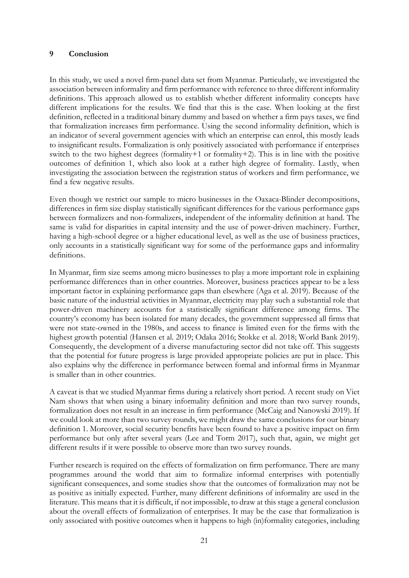#### **9 Conclusion**

In this study, we used a novel firm-panel data set from Myanmar. Particularly, we investigated the association between informality and firm performance with reference to three different informality definitions. This approach allowed us to establish whether different informality concepts have different implications for the results. We find that this is the case. When looking at the first definition, reflected in a traditional binary dummy and based on whether a firm pays taxes, we find that formalization increases firm performance. Using the second informality definition, which is an indicator of several government agencies with which an enterprise can enrol, this mostly leads to insignificant results. Formalization is only positively associated with performance if enterprises switch to the two highest degrees (formality+1 or formality+2). This is in line with the positive outcomes of definition 1, which also look at a rather high degree of formality. Lastly, when investigating the association between the registration status of workers and firm performance, we find a few negative results.

Even though we restrict our sample to micro businesses in the Oaxaca-Blinder decompositions, differences in firm size display statistically significant differences for the various performance gaps between formalizers and non-formalizers, independent of the informality definition at hand. The same is valid for disparities in capital intensity and the use of power-driven machinery. Further, having a high-school degree or a higher educational level, as well as the use of business practices, only accounts in a statistically significant way for some of the performance gaps and informality definitions.

In Myanmar, firm size seems among micro businesses to play a more important role in explaining performance differences than in other countries. Moreover, business practices appear to be a less important factor in explaining performance gaps than elsewhere (Aga et al. 2019). Because of the basic nature of the industrial activities in Myanmar, electricity may play such a substantial role that power-driven machinery accounts for a statistically significant difference among firms. The country's economy has been isolated for many decades, the government suppressed all firms that were not state-owned in the 1980s, and access to finance is limited even for the firms with the highest growth potential (Hansen et al. 2019; Odaka 2016; Stokke et al. 2018; World Bank 2019). Consequently, the development of a diverse manufacturing sector did not take off. This suggests that the potential for future progress is large provided appropriate policies are put in place. This also explains why the difference in performance between formal and informal firms in Myanmar is smaller than in other countries.

A caveat is that we studied Myanmar firms during a relatively short period. A recent study on Viet Nam shows that when using a binary informality definition and more than two survey rounds, formalization does not result in an increase in firm performance (McCaig and Nanowski 2019). If we could look at more than two survey rounds, we might draw the same conclusions for our binary definition 1. Moreover, social security benefits have been found to have a positive impact on firm performance but only after several years (Lee and Torm 2017), such that, again, we might get different results if it were possible to observe more than two survey rounds.

Further research is required on the effects of formalization on firm performance. There are many programmes around the world that aim to formalize informal enterprises with potentially significant consequences, and some studies show that the outcomes of formalization may not be as positive as initially expected. Further, many different definitions of informality are used in the literature. This means that it is difficult, if not impossible, to draw at this stage a general conclusion about the overall effects of formalization of enterprises. It may be the case that formalization is only associated with positive outcomes when it happens to high (in)formality categories, including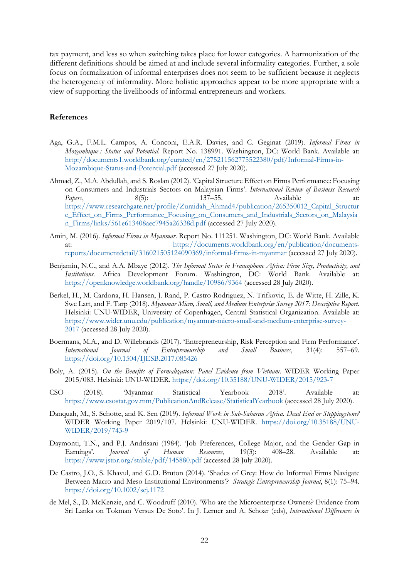tax payment, and less so when switching takes place for lower categories. A harmonization of the different definitions should be aimed at and include several informality categories. Further, a sole focus on formalization of informal enterprises does not seem to be sufficient because it neglects the heterogeneity of informality. More holistic approaches appear to be more appropriate with a view of supporting the livelihoods of informal entrepreneurs and workers.

#### **References**

- Aga, G.A., F.M.L. Campos, A. Conconi, E.A.R. Davies, and C. Geginat (2019). *Informal Firms in Mozambique : Status and Potential*. Report No. 138991. Washington, DC: World Bank. Available at: [http://documents1.worldbank.org/curated/en/275211562775522380/pdf/Informal-Firms-in-](http://documents1.worldbank.org/curated/en/275211562775522380/pdf/Informal-Firms-in-Mozambique-Status-and-Potential.pdf)[Mozambique-Status-and-Potential.pdf](http://documents1.worldbank.org/curated/en/275211562775522380/pdf/Informal-Firms-in-Mozambique-Status-and-Potential.pdf) (accessed 27 July 2020).
- Ahmad, Z., M.A. Abdullah, and S. Roslan (2012). 'Capital Structure Effect on Firms Performance: Focusing on Consumers and Industrials Sectors on Malaysian Firms'. *International Review of Business Research Papers*, 8(5): 137–55. Available at: [https://www.researchgate.net/profile/Zuraidah\\_Ahmad4/publication/265350012\\_Capital\\_Structur](https://www.researchgate.net/profile/Zuraidah_Ahmad4/publication/265350012_Capital_Structure_Effect_on_Firms_Performance_Focusing_on_Consumers_and_Industrials_Sectors_on_Malaysian_Firms/links/561e613408aec7945a26338d.pdf) [e\\_Effect\\_on\\_Firms\\_Performance\\_Focusing\\_on\\_Consumers\\_and\\_Industrials\\_Sectors\\_on\\_Malaysia](https://www.researchgate.net/profile/Zuraidah_Ahmad4/publication/265350012_Capital_Structure_Effect_on_Firms_Performance_Focusing_on_Consumers_and_Industrials_Sectors_on_Malaysian_Firms/links/561e613408aec7945a26338d.pdf) [n\\_Firms/links/561e613408aec7945a26338d.pdf](https://www.researchgate.net/profile/Zuraidah_Ahmad4/publication/265350012_Capital_Structure_Effect_on_Firms_Performance_Focusing_on_Consumers_and_Industrials_Sectors_on_Malaysian_Firms/links/561e613408aec7945a26338d.pdf) (accessed 27 July 2020).
- Amin, M. (2016). *Informal Firms in Myanmar*. Report No. 111251. Washington, DC: World Bank. Available at: [https://documents.worldbank.org/en/publication/documents](https://documents.worldbank.org/en/publication/documents-reports/documentdetail/316021505124090369/informal-firms-in-myanmar)[reports/documentdetail/316021505124090369/informal-firms-in-myanmar](https://documents.worldbank.org/en/publication/documents-reports/documentdetail/316021505124090369/informal-firms-in-myanmar) (accessed 27 July 2020).
- Benjamin, N.C., and A.A. Mbaye (2012). *The Informal Sector in Francophone Africa: Firm Size, Productivity, and Institutions.* Africa Development Forum. Washington, DC: World Bank. Available at: <https://openknowledge.worldbank.org/handle/10986/9364> (accessed 28 July 2020).
- Berkel, H., M. Cardona, H. Hansen, J. Rand, P. Castro Rodriguez, N. Trifkovic, E. de Witte, H. Zille, K. Swe Latt, and F. Tarp (2018). *Myanmar Micro, Small, and Medium Enterprise Survey 2017: Descriptive Report.* Helsinki: UNU-WIDER, University of Copenhagen, Central Statistical Organization. Available at: [https://www.wider.unu.edu/publication/myanmar-micro-small-and-medium-enterprise-survey-](https://www.wider.unu.edu/publication/myanmar-micro-small-and-medium-enterprise-survey-2017)[2017](https://www.wider.unu.edu/publication/myanmar-micro-small-and-medium-enterprise-survey-2017) (accessed 28 July 2020).
- Boermans, M.A., and D. Willebrands (2017). 'Entrepreneurship, Risk Perception and Firm Performance'. *International Journal of Entrepreneurship and Small Business*, 31(4): 557–69. <https://doi.org/10.1504/IJESB.2017.085426>
- Boly, A. (2015). *On the Benefits of Formalization: Panel Evidence from Vietnam*. WIDER Working Paper 2015/083. Helsinki: UNU-WIDER.<https://doi.org/10.35188/UNU-WIDER/2015/923-7>
- CSO (2018). 'Myanmar Statistical Yearbook 2018'. Available at: <https://www.csostat.gov.mm/PublicationAndRelease/StatisticalYearbook> (accessed 28 July 2020).
- Danquah, M., S. Schotte, and K. Sen (2019). *Informal Work in Sub-Saharan Africa. Dead End or Steppingstone?* WIDER Working Paper 2019/107. Helsinki: UNU-WIDER. [https://doi.org/10.35188/UNU-](https://doi.org/10.35188/UNU-WIDER/2019/743-9)[WIDER/2019/743-9](https://doi.org/10.35188/UNU-WIDER/2019/743-9)
- Daymonti, T.N., and P.J. Andrisani (1984). 'Job Preferences, College Major, and the Gender Gap in Earnings'. *Journal of Human Resources*, 19(3): 408–28. Available at: <https://www.jstor.org/stable/pdf/145880.pdf> (accessed 28 July 2020).
- De Castro, J.O., S. Khavul, and G.D. Bruton (2014). 'Shades of Grey: How do Informal Firms Navigate Between Macro and Meso Institutional Environments'? *Strategic Entrepreneurship Journal*, 8(1): 75–94. <https://doi.org/10.1002/sej.1172>
- de Mel, S., D. McKenzie, and C. Woodruff (2010). 'Who are the Microenterprise Owners? Evidence from Sri Lanka on Tokman Versus De Soto'. In J. Lerner and A. Schoar (eds), *International Differences in*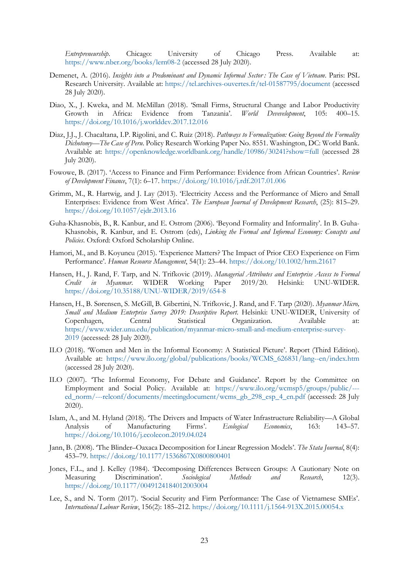*Entrepreneurship*. Chicago: University of Chicago Press. Available at: <https://www.nber.org/books/lern08-2> (accessed 28 July 2020).

- Demenet, A. (2016). *Insights into a Predominant and Dynamic Informal Sector : The Case of Vietnam*. Paris: PSL Research University. Available at:<https://tel.archives-ouvertes.fr/tel-01587795/document> (accessed 28 July 2020).
- Diao, X., J. Kweka, and M. McMillan (2018). 'Small Firms, Structural Change and Labor Productivity Growth in Africa: Evidence from Tanzania'. *World Devevelopment*, 105: 400–15. <https://doi.org/10.1016/j.worlddev.2017.12.016>
- Diaz, J.J., J. Chacaltana, I.P. Rigolini, and C. Ruiz (2018). *Pathways to Formalization: Going Beyond the Formality Dichotomy—The Case of Peru*. Policy Research Working Paper No. 8551. Washington, DC: World Bank. Available at:<https://openknowledge.worldbank.org/handle/10986/30241?show=full> (accessed 28 July 2020).
- Fowowe, B. (2017). 'Access to Finance and Firm Performance: Evidence from African Countries'. *Review of Development Finance*, 7(1): 6–17.<https://doi.org/10.1016/j.rdf.2017.01.006>
- Grimm, M., R. Hartwig, and J. Lay (2013). 'Electricity Access and the Performance of Micro and Small Enterprises: Evidence from West Africa'. *The European Journal of Development Research*, (25): 815–29. <https://doi.org/10.1057/ejdr.2013.16>
- Guha-Khasnobis, B., R. Kanbur, and E. Ostrom (2006). 'Beyond Formality and Informality'. In B. Guha-Khasnobis, R. Kanbur, and E. Ostrom (eds), *Linking the Formal and Informal Economy: Concepts and Policies*. Oxford: Oxford Scholarship Online.
- Hamori, M., and B. Koyuncu (2015). 'Experience Matters? The Impact of Prior CEO Experience on Firm Performance'. *Human Resource Management*, 54(1): 23–44.<https://doi.org/10.1002/hrm.21617>
- Hansen, H., J. Rand, F. Tarp, and N. Trifkovic (2019). *Managerial Attributes and Enterprise Access to Formal Credit in Myanmar*. WIDER Working Paper 2019/20. Helsinki: UNU-WIDER. <https://doi.org/10.35188/UNU-WIDER/2019/654-8>
- Hansen, H., B. Sørensen, S. McGill, B. Gibertini, N. Trifkovic, J. Rand, and F. Tarp (2020). *Myanmar Micro, Small and Medium Enterprise Survey 2019: Descriptive Report*. Helsinki: UNU-WIDER, University of Copenhagen, Central Statistical Organization. Available at: [https://www.wider.unu.edu/publication/myanmar-micro-small-and-medium-enterprise-survey-](https://www.wider.unu.edu/publication/myanmar-micro-small-and-medium-enterprise-survey-2019)[2019](https://www.wider.unu.edu/publication/myanmar-micro-small-and-medium-enterprise-survey-2019) (accessed: 28 July 2020).
- ILO (2018). 'Women and Men in the Informal Economy: A Statistical Picture'. Report (Third Edition). Available at: [https://www.ilo.org/global/publications/books/WCMS\\_626831/lang--en/index.htm](https://www.ilo.org/global/publications/books/WCMS_626831/lang--en/index.htm) (accessed 28 July 2020).
- ILO (2007). 'The Informal Economy, For Debate and Guidance'. Report by the Committee on Employment and Social Policy. Available at: [https://www.ilo.org/wcmsp5/groups/public/--](https://www.ilo.org/wcmsp5/groups/public/---ed_norm/---relconf/documents/meetingdocument/wcms_gb_298_esp_4_en.pdf) [ed\\_norm/---relconf/documents/meetingdocument/wcms\\_gb\\_298\\_esp\\_4\\_en.pdf](https://www.ilo.org/wcmsp5/groups/public/---ed_norm/---relconf/documents/meetingdocument/wcms_gb_298_esp_4_en.pdf) (accessed: 28 July 2020).
- Islam, A., and M. Hyland (2018). 'The Drivers and Impacts of Water Infrastructure Reliability—A Global Analysis of Manufacturing Firms'. *Ecological Economics*, 163: 143–57. <https://doi.org/10.1016/j.ecolecon.2019.04.024>
- Jann, B. (2008). 'The Blinder–Oaxaca Decomposition for Linear Regression Models'. *The Stata Journal*, 8(4): 453–79.<https://doi.org/10.1177/1536867X0800800401>
- Jones, F.L., and J. Kelley (1984). 'Decomposing Differences Between Groups: A Cautionary Note on Measuring Discrimination'. *Sociological Methods and Research*, 12(3). <https://doi.org/10.1177/0049124184012003004>
- Lee, S., and N. Torm (2017). 'Social Security and Firm Performance: The Case of Vietnamese SMEs'. *International Labour Review*, 156(2): 185–212.<https://doi.org/10.1111/j.1564-913X.2015.00054.x>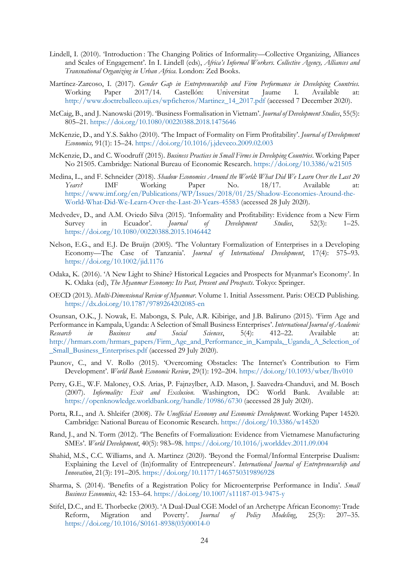- Lindell, I. (2010). 'Introduction : The Changing Politics of Informality—Collective Organizing, Alliances and Scales of Engagement'. In I. Lindell (eds), *Africa's Informal Workers. Collective Agency, Alliances and Transnational Organizing in Urban Africa*. London: Zed Books.
- Martínez-Zarcoso, I. (2017). *Gender Gap in Entrepreneurship and Firm Performance in Developing Countries.* Working Paper 2017/14. Castellón: Universitat Jaume I. Available at: [http://www.doctreballeco.uji.es/wpficheros/Martinez\\_14\\_2017.pdf](http://www.doctreballeco.uji.es/wpficheros/Martinez_14_2017.pdf) (accessed 7 December 2020).
- McCaig, B., and J. Nanowski (2019). 'Business Formalisation in Vietnam'. *Journal of Development Studies*, 55(5): 805–21.<https://doi.org/10.1080/00220388.2018.1475646>
- McKenzie, D., and Y.S. Sakho (2010). 'The Impact of Formality on Firm Profitability'. *Journal of Development Economics,* 91(1): 15–24.<https://doi.org/10.1016/j.jdeveco.2009.02.003>
- McKenzie, D., and C. Woodruff (2015). *Business Practices in Small Firms in Developing Countries*. Working Paper No 21505. Cambridge: National Bureau of Economic Research.<https://doi.org/10.3386/w21505>
- Medina, L., and F. Schneider (2018). *Shadow Economies Around the World: What Did We Learn Over the Last 20 Years?* IMF Working Paper No. 18/17. Available at: [https://www.imf.org/en/Publications/WP/Issues/2018/01/25/Shadow-Economies-Around-the-](https://www.imf.org/en/Publications/WP/Issues/2018/01/25/Shadow-Economies-Around-the-World-What-Did-We-Learn-Over-the-Last-20-Years-45583)[World-What-Did-We-Learn-Over-the-Last-20-Years-45583](https://www.imf.org/en/Publications/WP/Issues/2018/01/25/Shadow-Economies-Around-the-World-What-Did-We-Learn-Over-the-Last-20-Years-45583) (accessed 28 July 2020).
- Medvedev, D., and A.M. Oviedo Silva (2015). 'Informality and Profitability: Evidence from a New Firm<br>Survey in Ecuador'. *Journal of Development Studies*, 52(3): 1–25. Survey in Ecuador'. *Journal of Development Studies*, 52(3): 1–25. <https://doi.org/10.1080/00220388.2015.1046442>
- Nelson, E.G., and E.J. De Bruijn (2005). 'The Voluntary Formalization of Enterprises in a Developing Economy—The Case of Tanzania'. *Journal of International Development*, 17(4): 575–93. <https://doi.org/10.1002/jid.1176>
- Odaka, K. (2016). 'A New Light to Shine? Historical Legacies and Prospects for Myanmar's Economy'. In K. Odaka (ed), *The Myanmar Economy: Its Past, Present and Prospects*. Tokyo: Springer.
- OECD (2013). *Multi-Dimensional Review of Myanmar*. Volume 1. Initial Assessment. Paris: OECD Publishing. <https://dx.doi.org/10.1787/9789264202085-en>

Osunsan, O.K., J. Nowak, E. Mabonga, S. Pule, A.R. Kibirige, and J.B. Baliruno (2015). 'Firm Age and Performance in Kampala, Uganda: A Selection of Small Business Enterprises'. *International Journal of Academic Research in Business and Social Sciences*, 5(4): 412–22. Available at: [http://hrmars.com/hrmars\\_papers/Firm\\_Age\\_and\\_Performance\\_in\\_Kampala,\\_Uganda\\_A\\_Selection\\_of](http://hrmars.com/hrmars_papers/Firm_Age_and_Performance_in_Kampala,_Uganda_A_Selection_of_Small_Business_Enterprises.pdf) [\\_Small\\_Business\\_Enterprises.pdf](http://hrmars.com/hrmars_papers/Firm_Age_and_Performance_in_Kampala,_Uganda_A_Selection_of_Small_Business_Enterprises.pdf) (accessed 29 July 2020).

- Paunov, C., and V. Rollo (2015). 'Overcoming Obstacles: The Internet's Contribution to Firm Development'. *World Bank Economic Review*, 29(1): 192–204.<https://doi.org/10.1093/wber/lhv010>
- Perry, G.E., W.F. Maloney, O.S. Arias, P. Fajnzylber, A.D. Mason, J. Saavedra-Chanduvi, and M. Bosch (2007). *Informality: Exit and Exclusion*. Washington, DC: World Bank. Available at: <https://openknowledge.worldbank.org/handle/10986/6730> (accessed 28 July 2020).
- Porta, R.L., and A. Shleifer (2008). *The Unofficial Economy and Economic Development*. Working Paper 14520. Cambridge: National Bureau of Economic Research.<https://doi.org/10.3386/w14520>
- Rand, J., and N. Torm (2012). 'The Benefits of Formalization: Evidence from Vietnamese Manufacturing SMEs'. *World Development*, 40(5): 983–98[. https://doi.org/10.1016/j.worlddev.2011.09.004](https://doi.org/10.1016/j.worlddev.2011.09.004)
- Shahid, M.S., C.C. Williams, and A. Martinez (2020). 'Beyond the Formal/Informal Enterprise Dualism: Explaining the Level of (In)formality of Entrepreneurs'. *International Journal of Entrepreneurship and Innovation*, 21(3): 191–205.<https://doi.org/10.1177/1465750319896928>
- Sharma, S. (2014). 'Benefits of a Registration Policy for Microenterprise Performance in India'. *Small Business Economics*, 42: 153–64.<https://doi.org/10.1007/s11187-013-9475-y>
- Stifel, D.C., and E. Thorbecke (2003). 'A Dual-Dual CGE Model of an Archetype African Economy: Trade Reform, Migration and Poverty'. *Journal of Policy Modeling*, 25(3): 207–35. [https://doi.org/10.1016/S0161-8938\(03\)00014-0](https://doi.org/10.1016/S0161-8938(03)00014-0)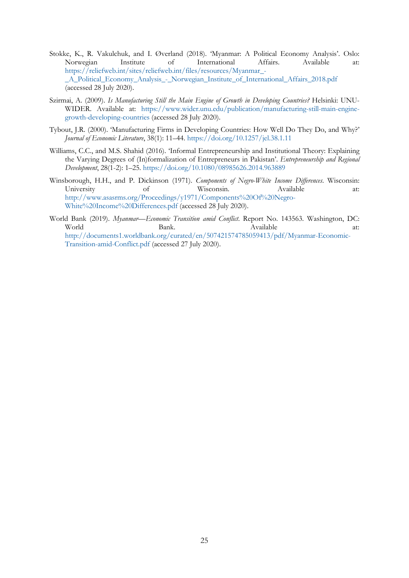- Stokke, K., R. Vakulchuk, and I. Øverland (2018). 'Myanmar: A Political Economy Analysis'. Oslo: Norwegian Institute of International Affairs. Available at: [https://reliefweb.int/sites/reliefweb.int/files/resources/Myanmar\\_-](https://reliefweb.int/sites/reliefweb.int/files/resources/Myanmar_-_A_Political_Economy_Analysis_-_Norwegian_Institute_of_International_Affairs_2018.pdf) [\\_A\\_Political\\_Economy\\_Analysis\\_-\\_Norwegian\\_Institute\\_of\\_International\\_Affairs\\_2018.pdf](https://reliefweb.int/sites/reliefweb.int/files/resources/Myanmar_-_A_Political_Economy_Analysis_-_Norwegian_Institute_of_International_Affairs_2018.pdf) (accessed 28 July 2020).
- Szirmai, A. (2009). *Is Manufacturing Still the Main Engine of Growth in Developing Countries?* Helsinki: UNU-WIDER. Available at: [https://www.wider.unu.edu/publication/manufacturing-still-main-engine](https://www.wider.unu.edu/publication/manufacturing-still-main-engine-growth-developing-countries)[growth-developing-countries](https://www.wider.unu.edu/publication/manufacturing-still-main-engine-growth-developing-countries) (accessed 28 July 2020).
- Tybout, J.R. (2000). 'Manufacturing Firms in Developing Countries: How Well Do They Do, and Why?' *Journal of Economic Literature*, 38(1): 11–44.<https://doi.org/10.1257/jel.38.1.11>
- Williams, C.C., and M.S. Shahid (2016). 'Informal Entrepreneurship and Institutional Theory: Explaining the Varying Degrees of (In)formalization of Entrepreneurs in Pakistan'. *Entrepreneurship and Regional Development*, 28(1-2): 1–25.<https://doi.org/10.1080/08985626.2014.963889>
- Winsborough, H.H., and P. Dickinson (1971). *Components of Negro-White Income Differences*. Wisconsin: University of Wisconsin. Available at: [http://www.asasrms.org/Proceedings/y1971/Components%20Of%20Negro-](http://www.asasrms.org/Proceedings/y1971/Components%20Of%20Negro-White%20Income%20Differences.pdf)[White%20Income%20Differences.pdf](http://www.asasrms.org/Proceedings/y1971/Components%20Of%20Negro-White%20Income%20Differences.pdf) (accessed 28 July 2020).
- World Bank (2019). *Myanmar—Economic Transition amid Conflict*. Report No. 143563. Washington, DC: World Bank. Bank. Available at: [http://documents1.worldbank.org/curated/en/507421574785059413/pdf/Myanmar-Economic-](http://documents1.worldbank.org/curated/en/507421574785059413/pdf/Myanmar-Economic-Transition-amid-Conflict.pdf)[Transition-amid-Conflict.pdf](http://documents1.worldbank.org/curated/en/507421574785059413/pdf/Myanmar-Economic-Transition-amid-Conflict.pdf) (accessed 27 July 2020).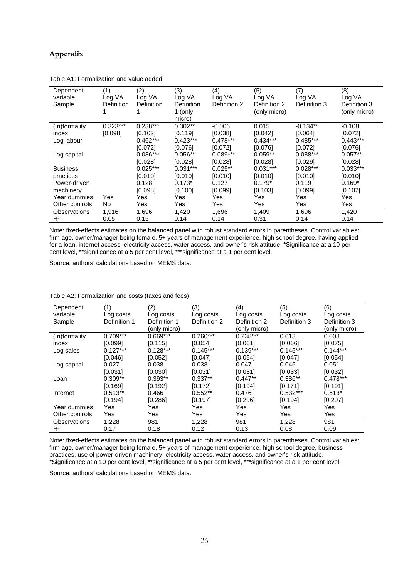# **Appendix**

| Dependent<br>variable<br>Sample | (1)<br>Log VA<br>Definition | (2)<br>Log VA<br>Definition | (3)<br>Log VA<br>Definition<br>1 (only | (4)<br>Log VA<br>Definition 2 | (5)<br>Log VA<br>Definition 2<br>(only micro) | (7)<br>Log VA<br>Definition 3 | (8)<br>Log VA<br>Definition 3<br>(only micro) |
|---------------------------------|-----------------------------|-----------------------------|----------------------------------------|-------------------------------|-----------------------------------------------|-------------------------------|-----------------------------------------------|
| (In)formality                   | $0.323***$                  | $0.238***$                  | micro)<br>$0.302**$                    | $-0.006$                      | 0.015                                         | $-0.134**$                    | $-0.108$                                      |
| index                           | [0.098]                     | [0.102]                     | [0.119]                                | [0.038]                       | [0.042]                                       | [0.064]                       | [0.072]                                       |
| Log labour                      |                             | $0.462***$                  | $0.423***$                             | $0.478***$                    | $0.434***$                                    | $0.485***$                    | $0.443***$                                    |
|                                 |                             | [0.072]                     | [0.076]                                | [0.072]                       | [0.076]                                       | [0.072]                       | [0.076]                                       |
| Log capital                     |                             | $0.086***$                  | $0.056**$                              | $0.089***$                    | $0.059**$                                     | $0.088***$                    | $0.057**$                                     |
|                                 |                             | [0.028]                     | [0.028]                                | [0.028]                       | [0.028]                                       | [0.029]                       | [0.028]                                       |
| <b>Business</b>                 |                             | $0.025***$                  | $0.031***$                             | $0.025**$                     | $0.031***$                                    | $0.028***$                    | $0.033***$                                    |
| practices                       |                             | [0.010]                     | [0.010]                                | [0.010]                       | [0.010]                                       | [0.010]                       | [0.010]                                       |
| Power-driven                    |                             | 0.128                       | $0.173*$                               | 0.127                         | $0.179*$                                      | 0.119                         | $0.169*$                                      |
| machinery                       |                             | [0.098]                     | [0.100]                                | [0.099]                       | [0.103]                                       | [0.099]                       | [0.102]                                       |
| Year dummies                    | Yes                         | Yes                         | Yes                                    | <b>Yes</b>                    | Yes                                           | Yes                           | Yes                                           |
| Other controls                  | No                          | Yes                         | Yes                                    | Yes                           | Yes                                           | Yes                           | Yes                                           |
| <b>Observations</b>             | 1,916                       | 1,696                       | 1,420                                  | 1,696                         | 1,409                                         | 1,696                         | 1,420                                         |
| R <sup>2</sup>                  | 0.05                        | 0.15                        | 0.14                                   | 0.14                          | 0.31                                          | 0.14                          | 0.14                                          |

Table A1: Formalization and value added

Note: fixed-effects estimates on the balanced panel with robust standard errors in parentheses. Control variables: firm age, owner/manager being female, 5+ years of management experience, high school degree, having applied for a loan, internet access, electricity access, water access, and owner's risk attitude. \*Significance at a 10 per cent level, \*\*significance at a 5 per cent level, \*\*\*significance at a 1 per cent level.

Source: authors' calculations based on MEMS data.

| Dependent           | (1)          | (2)          | (3)          | (4)          | (5)          | (6)          |
|---------------------|--------------|--------------|--------------|--------------|--------------|--------------|
| variable            | Log costs    | Log costs    | Log costs    | Log costs    | Log costs    | Log costs    |
| Sample              | Definition 1 | Definition 1 | Definition 2 | Definition 2 | Definition 3 | Definition 3 |
|                     |              | (only micro) |              | (only micro) |              | (only micro) |
| (In)formality       | $0.709***$   | $0.669***$   | $0.260***$   | $0.238***$   | 0.013        | 0.008        |
| index               | [0.099]      | [0.115]      | [0.054]      | [0.061]      | [0.066]      | [0.075]      |
| Log sales           | $0.127***$   | $0.128***$   | $0.145***$   | $0.139***$   | $0.145***$   | $0.144***$   |
|                     | [0.046]      | [0.052]      | [0.047]      | [0.054]      | [0.047]      | [0.054]      |
| Log capital         | 0.027        | 0.038        | 0.038        | 0.047        | 0.045        | 0.051        |
|                     | [0.031]      | [0.030]      | [0.031]      | [0.031]      | [0.033]      | [0.032]      |
| Loan                | $0.309**$    | $0.393**$    | $0.337**$    | $0.447**$    | $0.386**$    | $0.478***$   |
|                     | [0.169]      | [0.192]      | [0.172]      | [0.194]      | [0.171]      | [0.191]      |
| Internet            | $0.513**$    | 0.466        | $0.552**$    | 0.476        | $0.532***$   | $0.513*$     |
|                     | [0.194]      | [0.286]      | [0.197]      | [0.296]      | [0.194]      | [0.297]      |
| Year dummies        | Yes          | Yes          | Yes          | Yes          | Yes          | Yes          |
| Other controls      | Yes          | Yes          | Yes          | Yes          | Yes          | Yes          |
| <b>Observations</b> | 1,228        | 981          | 1.228        | 981          | 1,228        | 981          |
| R <sup>2</sup>      | 0.17         | 0.18         | 0.12         | 0.13         | 0.08         | 0.09         |

#### Table A2: Formalization and costs (taxes and fees)

Note: fixed-effects estimates on the balanced panel with robust standard errors in parentheses. Control variables: firm age, owner/manager being female, 5+ years of management experience, high school degree, business practices, use of power-driven machinery, electricity access, water access, and owner's risk attitude. \*Significance at a 10 per cent level, \*\*significance at a 5 per cent level, \*\*\*significance at a 1 per cent level.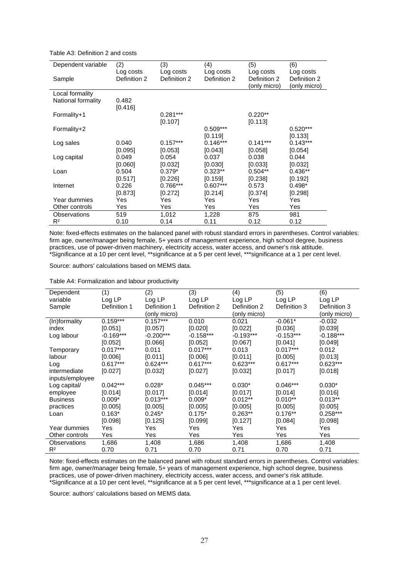Table A3: Definition 2 and costs

| Dependent variable | (2)          | (3)          | (4)          | (5)          | (6)          |
|--------------------|--------------|--------------|--------------|--------------|--------------|
|                    | Log costs    | Log costs    | Log costs    | Log costs    | Log costs    |
| Sample             | Definition 2 | Definition 2 | Definition 2 | Definition 2 | Definition 2 |
|                    |              |              |              | (only micro) | (only micro) |
| Local formality    |              |              |              |              |              |
| National formality | 0.482        |              |              |              |              |
|                    | [0.416]      |              |              |              |              |
| Formality+1        |              | $0.281***$   |              | $0.220**$    |              |
|                    |              | [0.107]      |              | [0.113]      |              |
| Formality+2        |              |              | $0.509***$   |              | $0.520***$   |
|                    |              |              | [0.119]      |              | [0.133]      |
| Log sales          | 0.040        | $0.157***$   | $0.146***$   | $0.141***$   | $0.143***$   |
|                    | [0.095]      | [0.053]      | [0.043]      | [0.058]      | [0.054]      |
| Log capital        | 0.049        | 0.054        | 0.037        | 0.038        | 0.044        |
|                    | [0.060]      | [0.032]      | [0.030]      | [0.033]      | [0.032]      |
| Loan               | 0.504        | $0.379*$     | $0.323**$    | $0.504**$    | $0.436**$    |
|                    | [0.517]      | [0.226]      | [0.159]      | [0.238]      | [0.192]      |
| Internet           | 0.226        | $0.766***$   | $0.607***$   | 0.573        | $0.498*$     |
|                    | [0.873]      | [0.272]      | [0.214]      | [0.374]      | [0.298]      |
| Year dummies       | Yes          | Yes          | Yes          | Yes          | Yes          |
| Other controls     | Yes          | Yes          | Yes          | Yes          | Yes          |
| Observations       | 519          | 1,012        | 1,228        | 875          | 981          |
| $R^2$              | 0.10         | 0.14         | 0.11         | 0.12         | 0.12         |

Note: fixed-effects estimates on the balanced panel with robust standard errors in parentheses. Control variables: firm age, owner/manager being female, 5+ years of management experience, high school degree, business practices, use of power-driven machinery, electricity access, water access, and owner's risk attitude. \*Significance at a 10 per cent level, \*\*significance at a 5 per cent level, \*\*\*significance at a 1 per cent level.

Source: authors' calculations based on MEMS data.

Table A4: Formalization and labour productivity

| Dependent           | (1)          | (2)          | (3)          | (4)          | (5)          | (6)          |
|---------------------|--------------|--------------|--------------|--------------|--------------|--------------|
| variable            | Log LP       | Log LP       | Log LP       | Log LP       | Log LP       | Log LP       |
| Sample              | Definition 1 | Definition 1 | Definition 2 | Definition 2 | Definition 3 | Definition 3 |
|                     |              | (only micro) |              | (only micro) |              | (only micro) |
| (In)formality       | $0.159***$   | $0.157***$   | 0.010        | 0.021        | $-0.061*$    | $-0.032$     |
| index               | [0.051]      | [0.057]      | [0.020]      | [0.022]      | [0.036]      | [0.039]      |
| Log labour          | $-0.169***$  | $-0.200***$  | $-0.158***$  | $-0.193***$  | $-0.153***$  | $-0.188***$  |
|                     | [0.052]      | [0.066]      | [0.052]      | [0.067]      | [0.041]      | [0.049]      |
| Temporary           | $0.017***$   | 0.011        | $0.017***$   | 0.013        | $0.017***$   | 0.012        |
| labour              | [0.006]      | [0.011]      | [0.006]      | [0.011]      | [0.005]      | [0.013]      |
| Log                 | $0.617***$   | $0.624***$   | $0.617***$   | $0.623***$   | $0.617***$   | $0.623***$   |
| intermediate        | [0.027]      | [0.032]      | [0.027]      | [0.032]      | [0.017]      | [0.018]      |
| inputs/employee     |              |              |              |              |              |              |
| Log capital/        | $0.042***$   | $0.028*$     | $0.045***$   | $0.030*$     | $0.046***$   | $0.030*$     |
| employee            | [0.014]      | [0.017]      | [0.014]      | [0.017]      | [0.014]      | [0.016]      |
| <b>Business</b>     | $0.009*$     | $0.013***$   | $0.009*$     | $0.012**$    | $0.010**$    | $0.013**$    |
| practices           | [0.005]      | [0.005]      | [0.005]      | [0.005]      | [0.005]      | [0.005]      |
| Loan                | $0.163*$     | $0.245*$     | $0.175*$     | $0.263**$    | $0.176**$    | $0.258***$   |
|                     | [0.098]      | [0.125]      | [0.099]      | [0.127]      | [0.084]      | [0.098]      |
| Year dummies        | Yes          | Yes          | Yes          | Yes          | Yes          | Yes          |
| Other controls      | Yes          | Yes          | Yes          | Yes          | Yes          | Yes          |
| <b>Observations</b> | 1,686        | 1,408        | 1,686        | 1,408        | 1,686        | 1,408        |
| R <sup>2</sup>      | 0.70         | 0.71         | 0.70         | 0.71         | 0.70         | 0.71         |

Note: fixed-effects estimates on the balanced panel with robust standard errors in parentheses. Control variables: firm age, owner/manager being female, 5+ years of management experience, high school degree, business practices, use of power-driven machinery, electricity access, water access, and owner's risk attitude. \*Significance at a 10 per cent level, \*\*significance at a 5 per cent level, \*\*\*significance at a 1 per cent level.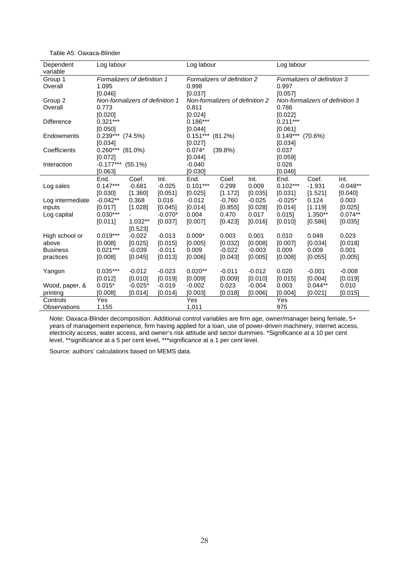| Dependent         | Log labour                      |           |           | Log labour                      |                             |          | Log labour                      |                             |            |  |  |
|-------------------|---------------------------------|-----------|-----------|---------------------------------|-----------------------------|----------|---------------------------------|-----------------------------|------------|--|--|
| variable          |                                 |           |           |                                 |                             |          |                                 |                             |            |  |  |
| Group 1           | Formalizers of definition 1     |           |           |                                 | Formalizers of definition 2 |          |                                 | Formalizers of definition 3 |            |  |  |
| Overall           | 1.095<br>[0.046]                |           |           |                                 | 0.998                       |          |                                 | 0.997                       |            |  |  |
|                   |                                 |           |           | [0.037]                         |                             |          | [0.057]                         |                             |            |  |  |
| Group 2           | Non-formalizers of definition 1 |           |           | Non-formalizers of definition 2 |                             |          | Non-formalizers of definition 3 |                             |            |  |  |
| Overall           | 0.773<br>[0.020]                |           |           | 0.811                           |                             |          | 0.786                           |                             |            |  |  |
|                   |                                 |           |           | [0.024]                         |                             |          | [0.022]                         |                             |            |  |  |
| <b>Difference</b> | $0.321***$                      |           |           |                                 | $0.186***$                  |          |                                 | $0.211***$                  |            |  |  |
|                   | [0.050]                         |           |           | [0.044]                         |                             |          | [0.061]                         |                             |            |  |  |
| Endowments        | $0.239***$ (74.5%)              |           |           | $0.151***$ (81.2%)              |                             |          |                                 | $0.149***$ (70.6%)          |            |  |  |
|                   | [0.034]                         |           |           | [0.027]                         |                             |          | [0.034]                         |                             |            |  |  |
| Coefficients      | $0.260***$ (81.0%)              |           |           | $0.074*$<br>(39.8%)             |                             |          | 0.037                           |                             |            |  |  |
|                   | [0.072]                         |           |           | [0.044]                         |                             |          |                                 | [0.059]                     |            |  |  |
| Interaction       | $-0.177***$ (55.1%)             |           |           | $-0.040$                        |                             |          |                                 | 0.026                       |            |  |  |
|                   | [0.063]                         |           |           | [0.030]                         |                             |          | [0.046]                         |                             |            |  |  |
|                   | End.                            | Coef.     | Int.      | End.                            | Coef.                       | Int.     | End.                            | Coef.                       | Int.       |  |  |
| Log sales         | $0.147***$                      | $-0.681$  | $-0.025$  | $0.101***$                      | 0.299                       | 0.009    | $0.102***$                      | $-1.931$                    | $-0.048**$ |  |  |
|                   | [0.030]                         | [1.360]   | [0.051]   | [0.025]                         | [1.172]                     | [0.035]  | [0.031]                         | [1.521]                     | [0.040]    |  |  |
| Log intermediate  | $-0.042**$                      | 0.368     | 0.016     | $-0.012$                        | $-0.760$                    | $-0.025$ | $-0.025*$                       | 0.124                       | 0.003      |  |  |
| inputs            | [0.017]                         | [1.028]   | [0.045]   | [0.014]                         | [0.855]                     | [0.028]  | [0.014]                         | [1.119]                     | [0.025]    |  |  |
| Log capital       | $0.030***$                      |           | $-0.070*$ | 0.004                           | 0.470                       | 0.017    | 0.015]                          | 1.350**                     | $0.074**$  |  |  |
|                   | [0.011]                         | $1.032**$ | [0.037]   | [0.007]                         | [0.423]                     | [0.016]  | [0.010]                         | [0.586]                     | [0.035]    |  |  |
|                   |                                 | [0.523]   |           |                                 |                             |          |                                 |                             |            |  |  |
| High school or    | $0.019***$                      | $-0.022$  | $-0.013$  | $0.009*$                        | 0.003                       | 0.001    | 0.010                           | 0.049                       | 0.023      |  |  |
| above             | [0.008]                         | [0.025]   | [0.015]   | [0.005]                         | [0.032]                     | [0.008]  | [0.007]                         | [0.034]                     | [0.018]    |  |  |
| <b>Business</b>   | $0.021***$                      | $-0.039$  | $-0.011$  | 0.009                           | $-0.022$                    | $-0.003$ | 0.009                           | 0.009                       | 0.001      |  |  |
| practices         | [0.008]                         | [0.045]   | [0.013]   | [0.006]                         | [0.043]                     | [0.005]  | [0.008]                         | [0.055]                     | [0.005]    |  |  |
|                   |                                 |           |           |                                 |                             |          |                                 |                             |            |  |  |
| Yangon            | $0.035***$                      | $-0.012$  | $-0.023$  | $0.020**$                       | $-0.011$                    | $-0.012$ | 0.020                           | $-0.001$                    | $-0.008$   |  |  |
|                   | [0.012]                         | [0.010]   | [0.019]   | [0.009]                         | [0.009]                     | [0.010]  | [0.015]                         | [0.004]                     | [0.019]    |  |  |
| Wood, paper, &    | $0.015*$                        | $-0.025*$ | $-0.019$  | $-0.002$                        | 0.023                       | $-0.004$ | 0.003                           | $0.044**$                   | 0.010      |  |  |
| printing          | [0.008]                         | [0.014]   | [0.014]   | [0.003]                         | [0.018]                     | [0.006]  | [0.004]                         | [0.021]                     | [0.015]    |  |  |
| Controls          | Yes                             |           |           | Yes<br>Yes                      |                             |          |                                 |                             |            |  |  |
| Observations      | 1,155                           |           |           | 1,011                           |                             |          | 975                             |                             |            |  |  |

Table A5: Oaxaca-Blinder

Note: Oaxaca-Blinder decomposition. Additional control variables are firm age, owner/manager being female, 5+ years of management experience, firm having applied for a loan, use of power-driven machinery, internet access, electricity access, water access, and owner's risk attitude and sector dummies. \*Significance at a 10 per cent level, \*\*significance at a 5 per cent level, \*\*\*significance at a 1 per cent level.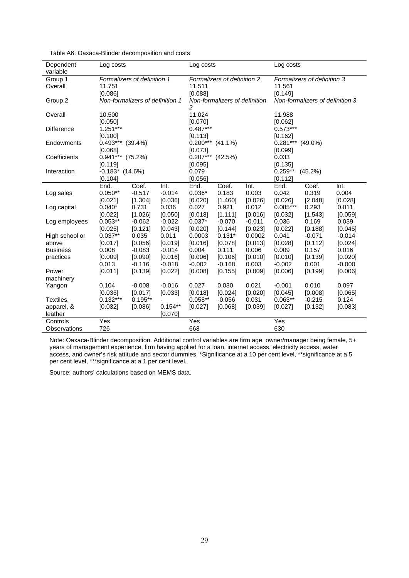| Dependent           | Log costs                             |                    |           | Log costs                     |                    |          | Log costs                                  |                      |          |  |  |
|---------------------|---------------------------------------|--------------------|-----------|-------------------------------|--------------------|----------|--------------------------------------------|----------------------|----------|--|--|
| variable<br>Group 1 |                                       |                    |           | Formalizers of definition 2   |                    |          | Formalizers of definition 3                |                      |          |  |  |
| Overall             | Formalizers of definition 1<br>11.751 |                    |           | 11.511                        |                    |          |                                            | 11.561               |          |  |  |
|                     | [0.086]                               |                    |           | [0.088]                       |                    |          |                                            |                      |          |  |  |
| Group 2             | Non-formalizers of definition 1       |                    |           | Non-formalizers of definition |                    |          | [0.149]<br>Non-formalizers of definition 3 |                      |          |  |  |
|                     |                                       |                    |           | 2                             |                    |          |                                            |                      |          |  |  |
| Overall             | 10.500                                |                    |           | 11.024                        |                    |          | 11.988                                     |                      |          |  |  |
|                     | [0.050]                               |                    |           | [0.070]                       |                    |          | [0.062]                                    |                      |          |  |  |
| <b>Difference</b>   | $1.251***$                            |                    |           | $0.487***$                    |                    |          | $0.573***$                                 |                      |          |  |  |
|                     | [0.100]                               |                    |           | [0.113]                       |                    |          | [0.162]                                    |                      |          |  |  |
| Endowments          |                                       | $0.493***$ (39.4%) |           |                               | $0.200***$ (41.1%) |          | $0.281***$ (49.0%)                         |                      |          |  |  |
|                     | [0.068]                               |                    |           | [0.073]                       |                    |          | [0.099]                                    |                      |          |  |  |
| Coefficients        | $0.941***$ (75.2%)                    |                    |           | $0.207***$                    | (42.5%)            |          | 0.033                                      |                      |          |  |  |
|                     | [0.119]                               |                    |           | [0.095]                       |                    |          | [0.135]                                    |                      |          |  |  |
| Interaction         | $-0.183$ $(14.6\%)$                   |                    |           | 0.079                         |                    |          |                                            | $0.259**$<br>(45.2%) |          |  |  |
|                     | [0.104]                               |                    |           | [0.056]                       |                    |          | [0.112]                                    |                      |          |  |  |
|                     | End.                                  | Coef.              | Int.      | End.                          | Coef.              | Int.     | End.                                       | Coef.                | Int.     |  |  |
| Log sales           | $0.050**$                             | $-0.517$           | $-0.014$  | $0.036*$                      | 0.183              | 0.003    | 0.042                                      | 0.319                | 0.004    |  |  |
|                     | [0.021]                               | [1.304]            | [0.036]   | [0.020]                       | [1.460]            | [0.026]  | [0.026]                                    | [2.048]              | [0.028]  |  |  |
| Log capital         | $0.040*$                              | 0.731              | 0.036     | 0.027                         | 0.921              | 0.012    | $0.085***$                                 | 0.293                | 0.011    |  |  |
|                     | [0.022]                               | [1.026]            | [0.050]   | [0.018]                       | [1.111]            | [0.016]  | [0.032]                                    | [1.543]              | [0.059]  |  |  |
| Log employees       | $0.053**$                             | $-0.062$           | $-0.022$  | $0.037*$                      | $-0.070$           | $-0.011$ | 0.036                                      | 0.169                | 0.039    |  |  |
|                     | [0.025]                               | [0.121]            | [0.043]   | [0.020]                       | [0.144]            | [0.023]  | [0.022]                                    | [0.188]              | [0.045]  |  |  |
| High school or      | $0.037**$                             | 0.035              | 0.011     | 0.0003                        | $0.131*$           | 0.0002   | 0.041                                      | $-0.071$             | $-0.014$ |  |  |
| above               | [0.017]                               | [0.056]            | [0.019]   | [0.016]                       | [0.078]            | [0.013]  | [0.028]                                    | [0.112]              | [0.024]  |  |  |
| <b>Business</b>     | 0.008                                 | $-0.083$           | $-0.014$  | 0.004                         | 0.111              | 0.006    | 0.009                                      | 0.157                | 0.016    |  |  |
| practices           | [0.009]                               | [0.090]            | [0.016]   | [0.006]                       | [0.106]            | [0.010]  | [0.010]                                    | [0.139]              | [0.020]  |  |  |
|                     | 0.013                                 | $-0.116$           | $-0.018$  | $-0.002$                      | $-0.168$           | 0.003    | $-0.002$                                   | 0.001                | $-0.000$ |  |  |
| Power               | [0.011]                               | [0.139]            | [0.022]   | [0.008]                       | [0.155]            | [0.009]  | [0.006]                                    | [0.199]              | [0.006]  |  |  |
| machinery           |                                       |                    |           |                               |                    |          |                                            |                      |          |  |  |
| Yangon              | 0.104                                 | $-0.008$           | $-0.016$  | 0.027                         | 0.030              | 0.021    | $-0.001$                                   | 0.010                | 0.097    |  |  |
|                     | [0.035]                               | [0.017]            | [0.033]   | [0.018]                       | [0.024]            | [0.020]  | [0.045]                                    | [0.008]              | [0.065]  |  |  |
| Textiles,           | $0.132***$                            | $0.195**$          |           | $0.058**$                     | $-0.056$           | 0.031    | $0.063**$                                  | $-0.215$             | 0.124    |  |  |
| apparel, &          | [0.032]                               | [0.086]            | $0.154**$ | [0.027]                       | [0.068]            | [0.039]  | [0.027]                                    | [0.132]              | [0.083]  |  |  |
| leather             |                                       |                    | [0.070]   |                               |                    |          |                                            |                      |          |  |  |
| Controls            | Yes                                   |                    |           | Yes                           |                    |          | Yes                                        |                      |          |  |  |
| Observations        | 726                                   |                    |           | 668                           |                    |          | 630                                        |                      |          |  |  |

Table A6: Oaxaca-Blinder decomposition and costs

Note: Oaxaca-Blinder decomposition. Additional control variables are firm age, owner/manager being female, 5+ years of management experience, firm having applied for a loan, internet access, electricity access, water access, and owner's risk attitude and sector dummies. \*Significance at a 10 per cent level, \*\*significance at a 5 per cent level, \*\*\*significance at a 1 per cent level.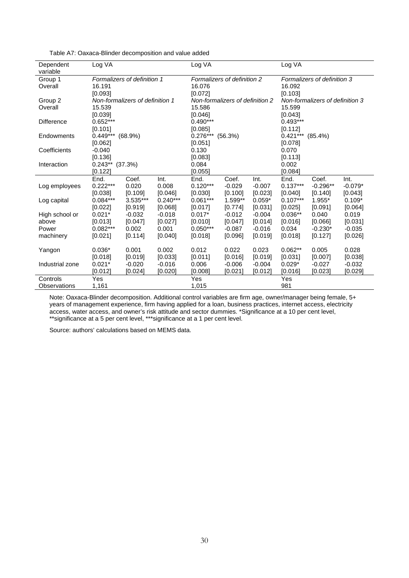| Dependent<br>variable | Log VA                      |                                 |            | Log VA                          |          |          | Log VA                          |            |           |  |
|-----------------------|-----------------------------|---------------------------------|------------|---------------------------------|----------|----------|---------------------------------|------------|-----------|--|
|                       |                             |                                 |            |                                 |          |          |                                 |            |           |  |
| Group 1               | Formalizers of definition 1 |                                 |            | Formalizers of definition 2     |          |          | Formalizers of definition 3     |            |           |  |
| Overall               | 16.191                      |                                 |            | 16.076                          |          |          | 16.092                          |            |           |  |
|                       | [0.093]                     |                                 |            | [0.072]                         |          |          | [0.103]                         |            |           |  |
| Group 2               |                             | Non-formalizers of definition 1 |            | Non-formalizers of definition 2 |          |          | Non-formalizers of definition 3 |            |           |  |
| Overall               | 15.539                      |                                 |            | 15.586                          |          |          | 15.599                          |            |           |  |
|                       | [0.039]                     |                                 |            | [0.046]                         |          |          | [0.043]                         |            |           |  |
| <b>Difference</b>     | $0.652***$                  |                                 |            | $0.490***$                      |          |          | $0.493***$                      |            |           |  |
|                       | [0.101]                     |                                 |            | [0.085]                         |          |          | [0.112]                         |            |           |  |
| Endowments            | $0.449***$                  | $(68.9\%)$                      |            | $0.276***$<br>(56.3%)           |          |          | $0.421***$<br>$(85.4\%)$        |            |           |  |
|                       | [0.062]                     |                                 |            | [0.051]                         |          |          | [0.078]                         |            |           |  |
| Coefficients          | $-0.040$                    |                                 |            | 0.130                           |          |          | 0.070                           |            |           |  |
|                       | [0.136]                     |                                 |            | [0.083]                         |          |          | [0.113]                         |            |           |  |
| Interaction           | $0.243**$ (37.3%)           |                                 |            | 0.084                           |          |          | 0.002                           |            |           |  |
|                       | [0.122]                     |                                 |            | [0.055]                         |          |          | [0.084]                         |            |           |  |
|                       | End.                        | Coef.                           | Int.       | End.                            | Coef.    | Int.     | End.                            | Coef.      | Int.      |  |
| Log employees         | $0.222***$                  | 0.020                           | 0.008      | $0.120***$                      | $-0.029$ | $-0.007$ | $0.137***$                      | $-0.296**$ | $-0.079*$ |  |
|                       | [0.038]                     | [0.109]                         | [0.046]    | [0.030]                         | [0.100]  | [0.023]  | [0.040]                         | [0.140]    | [0.043]   |  |
| Log capital           | $0.084***$                  | 3.535***                        | $0.240***$ | $0.061***$                      | 1.599**  | $0.059*$ | $0.107***$                      | 1.955*     | $0.109*$  |  |
|                       | [0.022]                     | [0.919]                         | [0.068]    | [0.017]                         | [0.774]  | [0.031]  | [0.025]                         | [0.091]    | [0.064]   |  |
| High school or        | $0.021*$                    | $-0.032$                        | $-0.018$   | $0.017*$                        | $-0.012$ | $-0.004$ | $0.036**$                       | 0.040      | 0.019     |  |
| above                 | [0.013]                     | [0.047]                         | [0.027]    | [0.010]                         | [0.047]  | [0.014]  | [0.016]                         | [0.066]    | [0.031]   |  |
| Power                 | $0.082***$                  | 0.002                           | 0.001      | $0.050***$                      | $-0.087$ | $-0.016$ | 0.034                           | $-0.230*$  | $-0.035$  |  |
| machinery             | [0.021]                     | [0.114]                         | [0.040]    | [0.018]                         | [0.096]  | [0.019]  | [0.018]                         | [0.127]    | [0.026]   |  |
|                       |                             |                                 |            |                                 |          |          |                                 |            |           |  |
| Yangon                | $0.036*$                    | 0.001                           | 0.002      | 0.012                           | 0.022    | 0.023    | $0.062**$                       | 0.005      | 0.028     |  |
|                       | [0.018]                     | [0.019]                         | [0.033]    | [0.011]                         | [0.016]  | [0.019]  | [0.031]                         | [0.007]    | [0.038]   |  |
| Industrial zone       | $0.021*$                    | $-0.020$                        | $-0.016$   | 0.006                           | $-0.006$ | $-0.004$ | $0.029*$                        | $-0.027$   | $-0.032$  |  |
|                       | [0.012]                     | [0.024]                         | [0.020]    | [0.008]                         | [0.021]  | [0.012]  | [0.016]                         | [0.023]    | [0.029]   |  |
| Controls              | Yes                         |                                 |            | Yes                             |          |          | Yes                             |            |           |  |
|                       |                             |                                 |            |                                 |          |          |                                 |            |           |  |
| Observations          | 1,161                       |                                 |            | 1,015                           |          |          | 981                             |            |           |  |

Table A7: Oaxaca-Blinder decomposition and value added

Note: Oaxaca-Blinder decomposition. Additional control variables are firm age, owner/manager being female, 5+ years of management experience, firm having applied for a loan, business practices, internet access, electricity access, water access, and owner's risk attitude and sector dummies. \*Significance at a 10 per cent level, \*\*significance at a 5 per cent level, \*\*\*significance at a 1 per cent level.